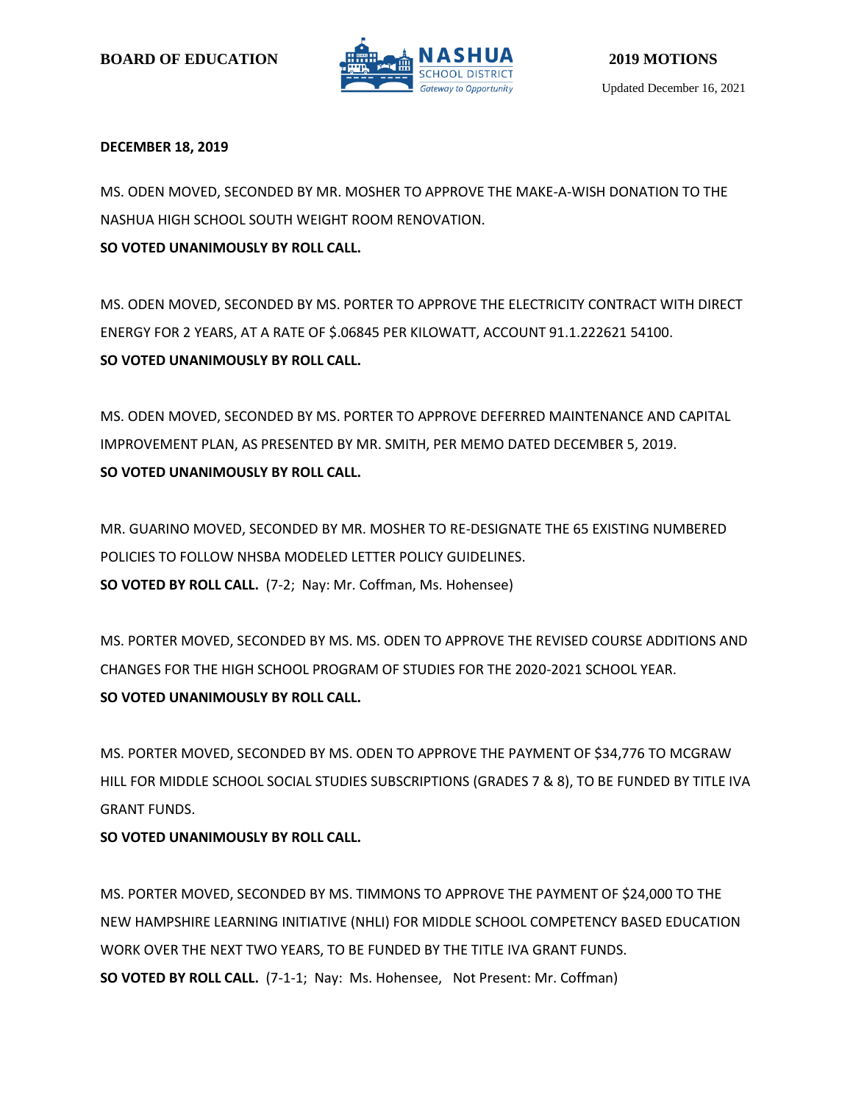

## **DECEMBER 18, 2019**

MS. ODEN MOVED, SECONDED BY MR. MOSHER TO APPROVE THE MAKE-A-WISH DONATION TO THE NASHUA HIGH SCHOOL SOUTH WEIGHT ROOM RENOVATION.

**SO VOTED UNANIMOUSLY BY ROLL CALL.**

MS. ODEN MOVED, SECONDED BY MS. PORTER TO APPROVE THE ELECTRICITY CONTRACT WITH DIRECT ENERGY FOR 2 YEARS, AT A RATE OF \$.06845 PER KILOWATT, ACCOUNT 91.1.222621 54100. **SO VOTED UNANIMOUSLY BY ROLL CALL.**

MS. ODEN MOVED, SECONDED BY MS. PORTER TO APPROVE DEFERRED MAINTENANCE AND CAPITAL IMPROVEMENT PLAN, AS PRESENTED BY MR. SMITH, PER MEMO DATED DECEMBER 5, 2019. **SO VOTED UNANIMOUSLY BY ROLL CALL.**

MR. GUARINO MOVED, SECONDED BY MR. MOSHER TO RE-DESIGNATE THE 65 EXISTING NUMBERED POLICIES TO FOLLOW NHSBA MODELED LETTER POLICY GUIDELINES. **SO VOTED BY ROLL CALL.** (7-2; Nay: Mr. Coffman, Ms. Hohensee)

MS. PORTER MOVED, SECONDED BY MS. MS. ODEN TO APPROVE THE REVISED COURSE ADDITIONS AND CHANGES FOR THE HIGH SCHOOL PROGRAM OF STUDIES FOR THE 2020-2021 SCHOOL YEAR. **SO VOTED UNANIMOUSLY BY ROLL CALL.**

MS. PORTER MOVED, SECONDED BY MS. ODEN TO APPROVE THE PAYMENT OF \$34,776 TO MCGRAW HILL FOR MIDDLE SCHOOL SOCIAL STUDIES SUBSCRIPTIONS (GRADES 7 & 8), TO BE FUNDED BY TITLE IVA GRANT FUNDS.

# **SO VOTED UNANIMOUSLY BY ROLL CALL.**

MS. PORTER MOVED, SECONDED BY MS. TIMMONS TO APPROVE THE PAYMENT OF \$24,000 TO THE NEW HAMPSHIRE LEARNING INITIATIVE (NHLI) FOR MIDDLE SCHOOL COMPETENCY BASED EDUCATION WORK OVER THE NEXT TWO YEARS, TO BE FUNDED BY THE TITLE IVA GRANT FUNDS. **SO VOTED BY ROLL CALL.** (7-1-1; Nay: Ms. Hohensee, Not Present: Mr. Coffman)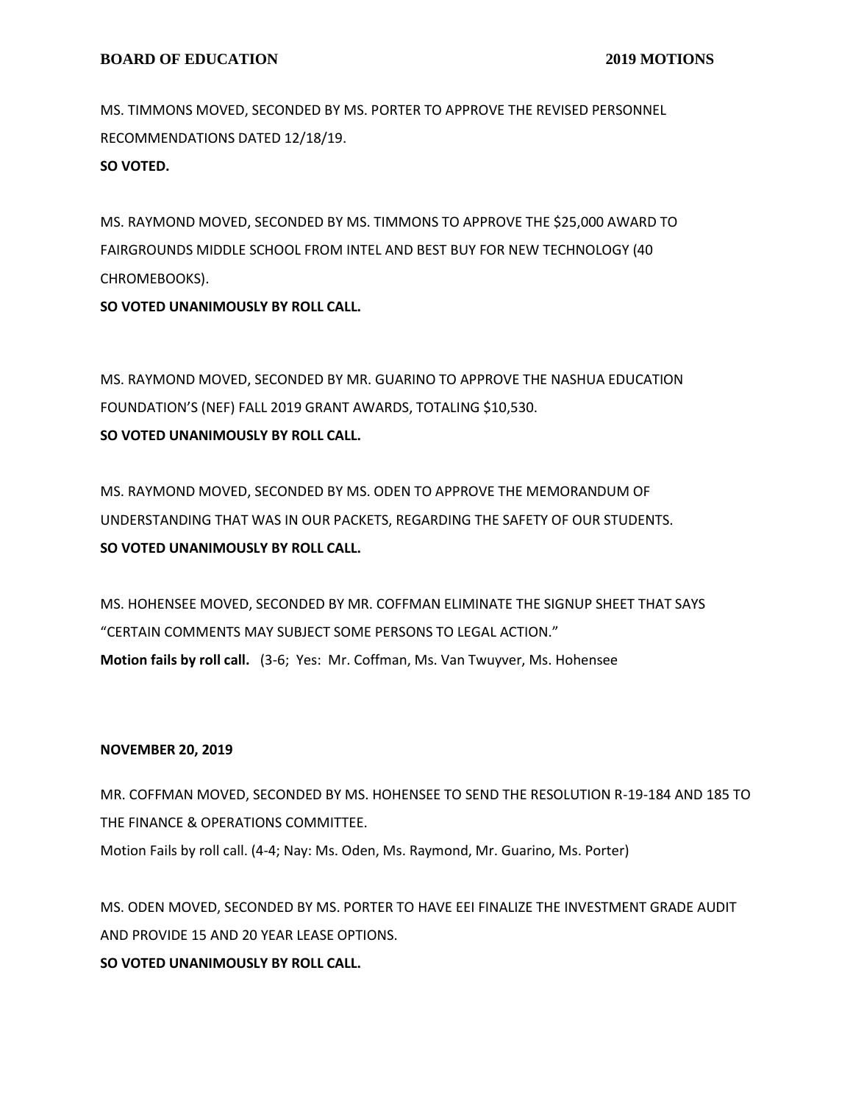MS. TIMMONS MOVED, SECONDED BY MS. PORTER TO APPROVE THE REVISED PERSONNEL RECOMMENDATIONS DATED 12/18/19.

**SO VOTED.**

MS. RAYMOND MOVED, SECONDED BY MS. TIMMONS TO APPROVE THE \$25,000 AWARD TO FAIRGROUNDS MIDDLE SCHOOL FROM INTEL AND BEST BUY FOR NEW TECHNOLOGY (40 CHROMEBOOKS).

**SO VOTED UNANIMOUSLY BY ROLL CALL.**

MS. RAYMOND MOVED, SECONDED BY MR. GUARINO TO APPROVE THE NASHUA EDUCATION FOUNDATION'S (NEF) FALL 2019 GRANT AWARDS, TOTALING \$10,530. **SO VOTED UNANIMOUSLY BY ROLL CALL.**

MS. RAYMOND MOVED, SECONDED BY MS. ODEN TO APPROVE THE MEMORANDUM OF UNDERSTANDING THAT WAS IN OUR PACKETS, REGARDING THE SAFETY OF OUR STUDENTS. **SO VOTED UNANIMOUSLY BY ROLL CALL.**

MS. HOHENSEE MOVED, SECONDED BY MR. COFFMAN ELIMINATE THE SIGNUP SHEET THAT SAYS "CERTAIN COMMENTS MAY SUBJECT SOME PERSONS TO LEGAL ACTION." **Motion fails by roll call.** (3-6; Yes: Mr. Coffman, Ms. Van Twuyver, Ms. Hohensee

#### **NOVEMBER 20, 2019**

MR. COFFMAN MOVED, SECONDED BY MS. HOHENSEE TO SEND THE RESOLUTION R-19-184 AND 185 TO THE FINANCE & OPERATIONS COMMITTEE. Motion Fails by roll call. (4-4; Nay: Ms. Oden, Ms. Raymond, Mr. Guarino, Ms. Porter)

MS. ODEN MOVED, SECONDED BY MS. PORTER TO HAVE EEI FINALIZE THE INVESTMENT GRADE AUDIT AND PROVIDE 15 AND 20 YEAR LEASE OPTIONS.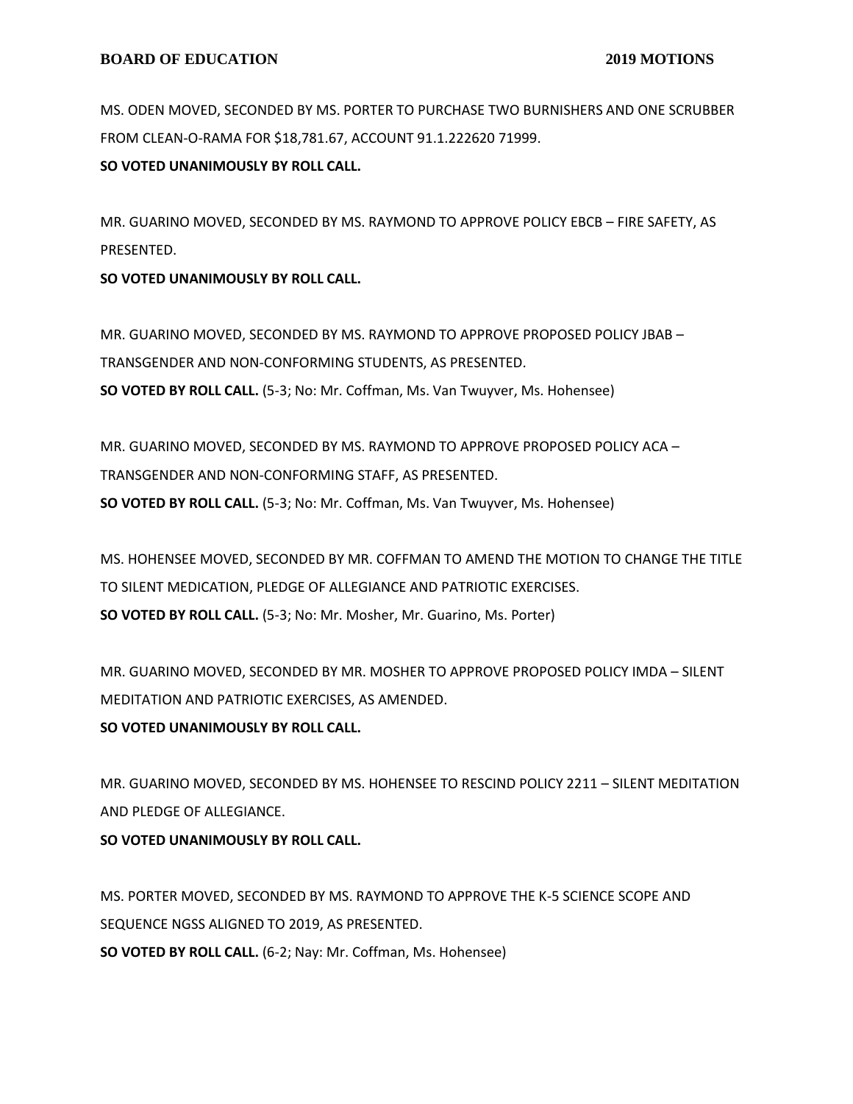MS. ODEN MOVED, SECONDED BY MS. PORTER TO PURCHASE TWO BURNISHERS AND ONE SCRUBBER FROM CLEAN-O-RAMA FOR \$18,781.67, ACCOUNT 91.1.222620 71999.

**SO VOTED UNANIMOUSLY BY ROLL CALL.**

MR. GUARINO MOVED, SECONDED BY MS. RAYMOND TO APPROVE POLICY EBCB – FIRE SAFETY, AS PRESENTED.

**SO VOTED UNANIMOUSLY BY ROLL CALL.**

MR. GUARINO MOVED, SECONDED BY MS. RAYMOND TO APPROVE PROPOSED POLICY JBAB – TRANSGENDER AND NON-CONFORMING STUDENTS, AS PRESENTED. **SO VOTED BY ROLL CALL.** (5-3; No: Mr. Coffman, Ms. Van Twuyver, Ms. Hohensee)

MR. GUARINO MOVED, SECONDED BY MS. RAYMOND TO APPROVE PROPOSED POLICY ACA – TRANSGENDER AND NON-CONFORMING STAFF, AS PRESENTED. **SO VOTED BY ROLL CALL.** (5-3; No: Mr. Coffman, Ms. Van Twuyver, Ms. Hohensee)

MS. HOHENSEE MOVED, SECONDED BY MR. COFFMAN TO AMEND THE MOTION TO CHANGE THE TITLE TO SILENT MEDICATION, PLEDGE OF ALLEGIANCE AND PATRIOTIC EXERCISES. **SO VOTED BY ROLL CALL.** (5-3; No: Mr. Mosher, Mr. Guarino, Ms. Porter)

MR. GUARINO MOVED, SECONDED BY MR. MOSHER TO APPROVE PROPOSED POLICY IMDA – SILENT MEDITATION AND PATRIOTIC EXERCISES, AS AMENDED.

**SO VOTED UNANIMOUSLY BY ROLL CALL.**

MR. GUARINO MOVED, SECONDED BY MS. HOHENSEE TO RESCIND POLICY 2211 – SILENT MEDITATION AND PLEDGE OF ALLEGIANCE.

**SO VOTED UNANIMOUSLY BY ROLL CALL.**

MS. PORTER MOVED, SECONDED BY MS. RAYMOND TO APPROVE THE K-5 SCIENCE SCOPE AND SEQUENCE NGSS ALIGNED TO 2019, AS PRESENTED.

**SO VOTED BY ROLL CALL.** (6-2; Nay: Mr. Coffman, Ms. Hohensee)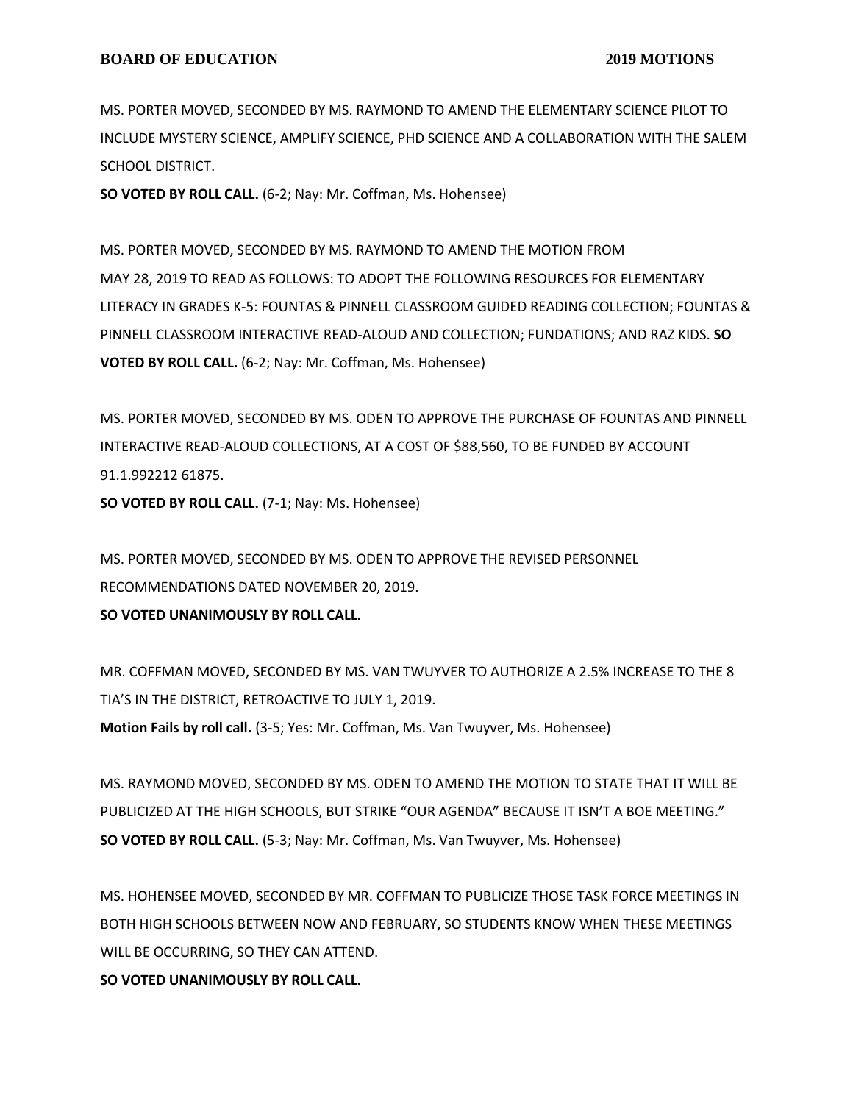MS. PORTER MOVED, SECONDED BY MS. RAYMOND TO AMEND THE ELEMENTARY SCIENCE PILOT TO INCLUDE MYSTERY SCIENCE, AMPLIFY SCIENCE, PHD SCIENCE AND A COLLABORATION WITH THE SALEM SCHOOL DISTRICT.

**SO VOTED BY ROLL CALL.** (6-2; Nay: Mr. Coffman, Ms. Hohensee)

MS. PORTER MOVED, SECONDED BY MS. RAYMOND TO AMEND THE MOTION FROM MAY 28, 2019 TO READ AS FOLLOWS: TO ADOPT THE FOLLOWING RESOURCES FOR ELEMENTARY LITERACY IN GRADES K-5: FOUNTAS & PINNELL CLASSROOM GUIDED READING COLLECTION; FOUNTAS & PINNELL CLASSROOM INTERACTIVE READ-ALOUD AND COLLECTION; FUNDATIONS; AND RAZ KIDS. **SO VOTED BY ROLL CALL.** (6-2; Nay: Mr. Coffman, Ms. Hohensee)

MS. PORTER MOVED, SECONDED BY MS. ODEN TO APPROVE THE PURCHASE OF FOUNTAS AND PINNELL INTERACTIVE READ-ALOUD COLLECTIONS, AT A COST OF \$88,560, TO BE FUNDED BY ACCOUNT 91.1.992212 61875.

**SO VOTED BY ROLL CALL.** (7-1; Nay: Ms. Hohensee)

MS. PORTER MOVED, SECONDED BY MS. ODEN TO APPROVE THE REVISED PERSONNEL RECOMMENDATIONS DATED NOVEMBER 20, 2019.

**SO VOTED UNANIMOUSLY BY ROLL CALL.**

MR. COFFMAN MOVED, SECONDED BY MS. VAN TWUYVER TO AUTHORIZE A 2.5% INCREASE TO THE 8 TIA'S IN THE DISTRICT, RETROACTIVE TO JULY 1, 2019.

**Motion Fails by roll call.** (3-5; Yes: Mr. Coffman, Ms. Van Twuyver, Ms. Hohensee)

MS. RAYMOND MOVED, SECONDED BY MS. ODEN TO AMEND THE MOTION TO STATE THAT IT WILL BE PUBLICIZED AT THE HIGH SCHOOLS, BUT STRIKE "OUR AGENDA" BECAUSE IT ISN'T A BOE MEETING." **SO VOTED BY ROLL CALL.** (5-3; Nay: Mr. Coffman, Ms. Van Twuyver, Ms. Hohensee)

MS. HOHENSEE MOVED, SECONDED BY MR. COFFMAN TO PUBLICIZE THOSE TASK FORCE MEETINGS IN BOTH HIGH SCHOOLS BETWEEN NOW AND FEBRUARY, SO STUDENTS KNOW WHEN THESE MEETINGS WILL BE OCCURRING, SO THEY CAN ATTEND.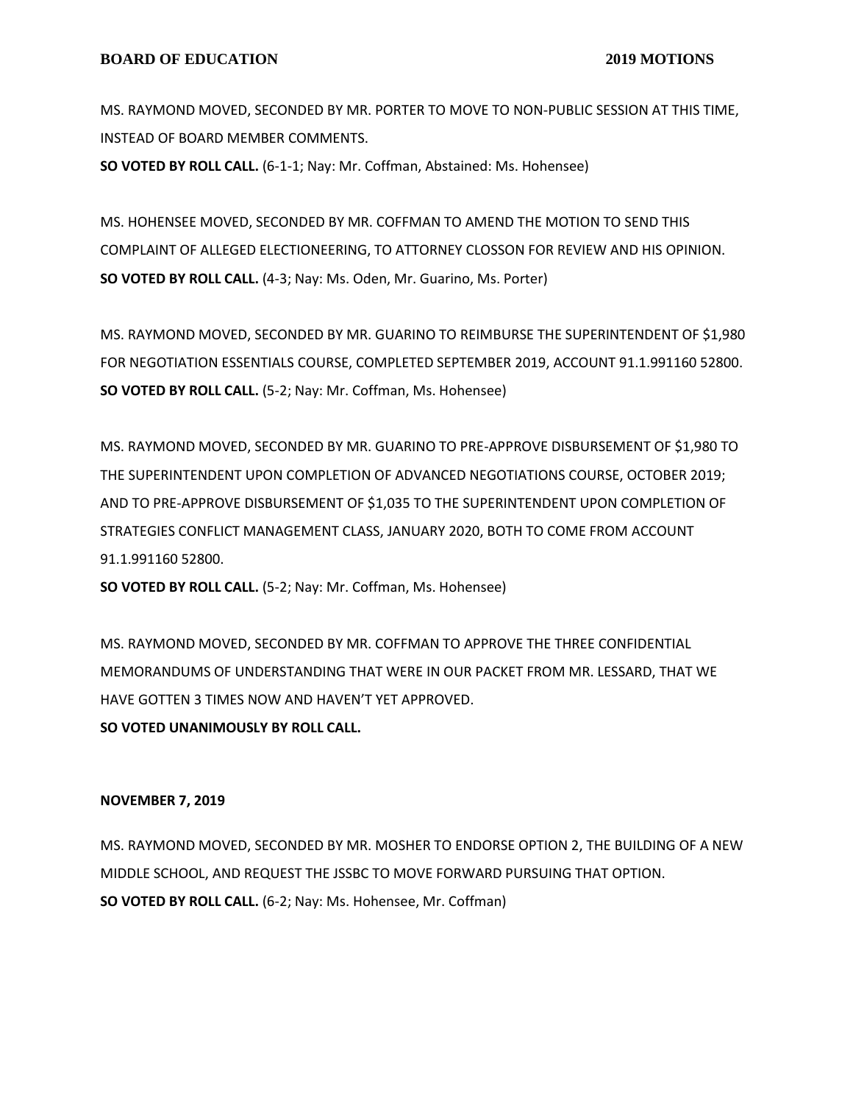MS. RAYMOND MOVED, SECONDED BY MR. PORTER TO MOVE TO NON-PUBLIC SESSION AT THIS TIME, INSTEAD OF BOARD MEMBER COMMENTS.

**SO VOTED BY ROLL CALL.** (6-1-1; Nay: Mr. Coffman, Abstained: Ms. Hohensee)

MS. HOHENSEE MOVED, SECONDED BY MR. COFFMAN TO AMEND THE MOTION TO SEND THIS COMPLAINT OF ALLEGED ELECTIONEERING, TO ATTORNEY CLOSSON FOR REVIEW AND HIS OPINION. **SO VOTED BY ROLL CALL.** (4-3; Nay: Ms. Oden, Mr. Guarino, Ms. Porter)

MS. RAYMOND MOVED, SECONDED BY MR. GUARINO TO REIMBURSE THE SUPERINTENDENT OF \$1,980 FOR NEGOTIATION ESSENTIALS COURSE, COMPLETED SEPTEMBER 2019, ACCOUNT 91.1.991160 52800. **SO VOTED BY ROLL CALL.** (5-2; Nay: Mr. Coffman, Ms. Hohensee)

MS. RAYMOND MOVED, SECONDED BY MR. GUARINO TO PRE-APPROVE DISBURSEMENT OF \$1,980 TO THE SUPERINTENDENT UPON COMPLETION OF ADVANCED NEGOTIATIONS COURSE, OCTOBER 2019; AND TO PRE-APPROVE DISBURSEMENT OF \$1,035 TO THE SUPERINTENDENT UPON COMPLETION OF STRATEGIES CONFLICT MANAGEMENT CLASS, JANUARY 2020, BOTH TO COME FROM ACCOUNT 91.1.991160 52800.

**SO VOTED BY ROLL CALL.** (5-2; Nay: Mr. Coffman, Ms. Hohensee)

MS. RAYMOND MOVED, SECONDED BY MR. COFFMAN TO APPROVE THE THREE CONFIDENTIAL MEMORANDUMS OF UNDERSTANDING THAT WERE IN OUR PACKET FROM MR. LESSARD, THAT WE HAVE GOTTEN 3 TIMES NOW AND HAVEN'T YET APPROVED.

**SO VOTED UNANIMOUSLY BY ROLL CALL.**

#### **NOVEMBER 7, 2019**

MS. RAYMOND MOVED, SECONDED BY MR. MOSHER TO ENDORSE OPTION 2, THE BUILDING OF A NEW MIDDLE SCHOOL, AND REQUEST THE JSSBC TO MOVE FORWARD PURSUING THAT OPTION. **SO VOTED BY ROLL CALL.** (6-2; Nay: Ms. Hohensee, Mr. Coffman)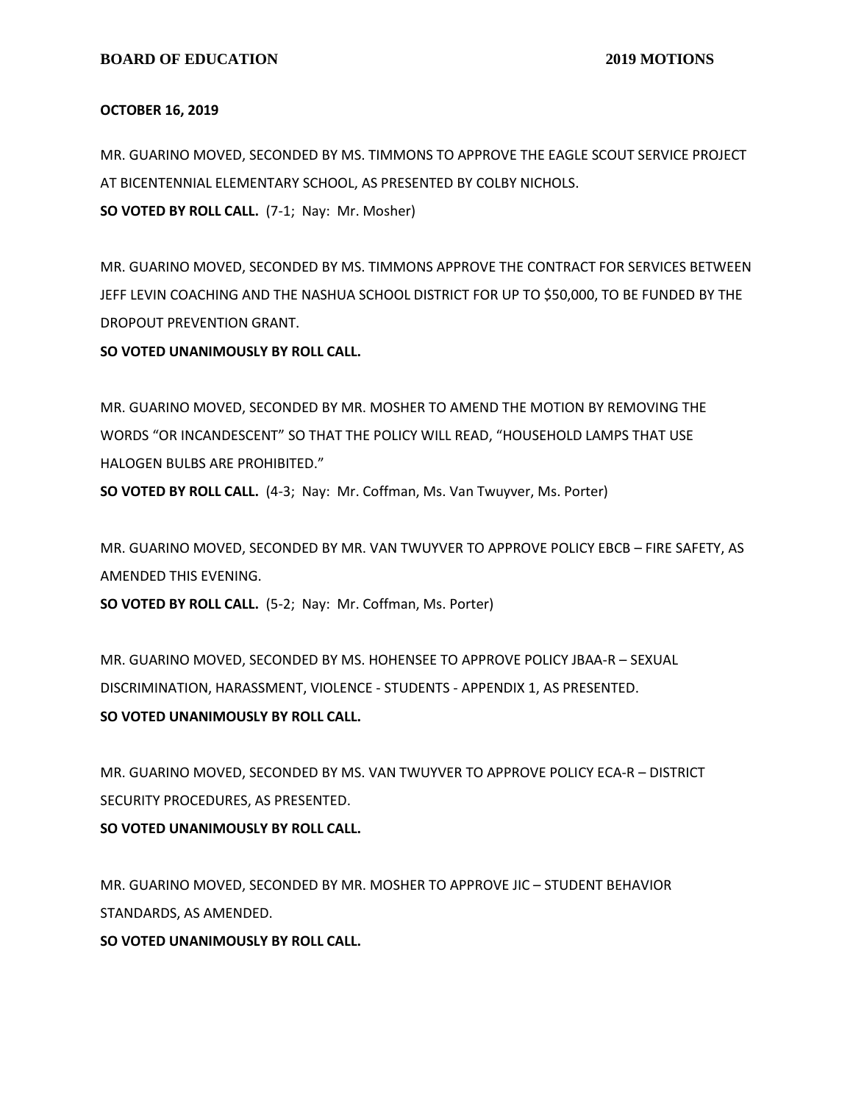#### **OCTOBER 16, 2019**

MR. GUARINO MOVED, SECONDED BY MS. TIMMONS TO APPROVE THE EAGLE SCOUT SERVICE PROJECT AT BICENTENNIAL ELEMENTARY SCHOOL, AS PRESENTED BY COLBY NICHOLS. **SO VOTED BY ROLL CALL.** (7-1; Nay: Mr. Mosher)

MR. GUARINO MOVED, SECONDED BY MS. TIMMONS APPROVE THE CONTRACT FOR SERVICES BETWEEN JEFF LEVIN COACHING AND THE NASHUA SCHOOL DISTRICT FOR UP TO \$50,000, TO BE FUNDED BY THE DROPOUT PREVENTION GRANT.

**SO VOTED UNANIMOUSLY BY ROLL CALL.**

MR. GUARINO MOVED, SECONDED BY MR. MOSHER TO AMEND THE MOTION BY REMOVING THE WORDS "OR INCANDESCENT" SO THAT THE POLICY WILL READ, "HOUSEHOLD LAMPS THAT USE HALOGEN BULBS ARE PROHIBITED."

**SO VOTED BY ROLL CALL.** (4-3; Nay: Mr. Coffman, Ms. Van Twuyver, Ms. Porter)

MR. GUARINO MOVED, SECONDED BY MR. VAN TWUYVER TO APPROVE POLICY EBCB – FIRE SAFETY, AS AMENDED THIS EVENING.

**SO VOTED BY ROLL CALL.** (5-2; Nay: Mr. Coffman, Ms. Porter)

MR. GUARINO MOVED, SECONDED BY MS. HOHENSEE TO APPROVE POLICY JBAA-R – SEXUAL DISCRIMINATION, HARASSMENT, VIOLENCE - STUDENTS - APPENDIX 1, AS PRESENTED. **SO VOTED UNANIMOUSLY BY ROLL CALL.**

MR. GUARINO MOVED, SECONDED BY MS. VAN TWUYVER TO APPROVE POLICY ECA-R – DISTRICT SECURITY PROCEDURES, AS PRESENTED.

**SO VOTED UNANIMOUSLY BY ROLL CALL.**

MR. GUARINO MOVED, SECONDED BY MR. MOSHER TO APPROVE JIC – STUDENT BEHAVIOR STANDARDS, AS AMENDED.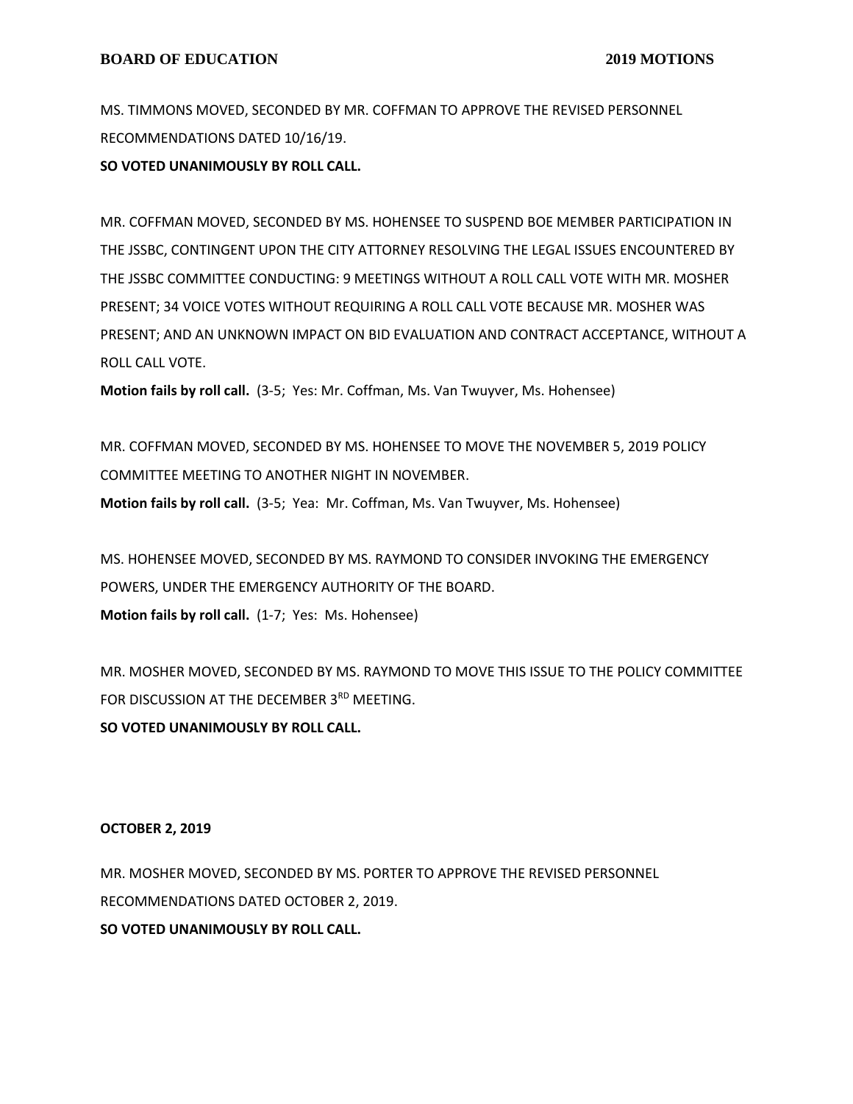MS. TIMMONS MOVED, SECONDED BY MR. COFFMAN TO APPROVE THE REVISED PERSONNEL RECOMMENDATIONS DATED 10/16/19.

**SO VOTED UNANIMOUSLY BY ROLL CALL.**

MR. COFFMAN MOVED, SECONDED BY MS. HOHENSEE TO SUSPEND BOE MEMBER PARTICIPATION IN THE JSSBC, CONTINGENT UPON THE CITY ATTORNEY RESOLVING THE LEGAL ISSUES ENCOUNTERED BY THE JSSBC COMMITTEE CONDUCTING: 9 MEETINGS WITHOUT A ROLL CALL VOTE WITH MR. MOSHER PRESENT; 34 VOICE VOTES WITHOUT REQUIRING A ROLL CALL VOTE BECAUSE MR. MOSHER WAS PRESENT; AND AN UNKNOWN IMPACT ON BID EVALUATION AND CONTRACT ACCEPTANCE, WITHOUT A ROLL CALL VOTE.

**Motion fails by roll call.** (3-5; Yes: Mr. Coffman, Ms. Van Twuyver, Ms. Hohensee)

MR. COFFMAN MOVED, SECONDED BY MS. HOHENSEE TO MOVE THE NOVEMBER 5, 2019 POLICY COMMITTEE MEETING TO ANOTHER NIGHT IN NOVEMBER.

**Motion fails by roll call.** (3-5; Yea: Mr. Coffman, Ms. Van Twuyver, Ms. Hohensee)

MS. HOHENSEE MOVED, SECONDED BY MS. RAYMOND TO CONSIDER INVOKING THE EMERGENCY POWERS, UNDER THE EMERGENCY AUTHORITY OF THE BOARD. **Motion fails by roll call.** (1-7; Yes: Ms. Hohensee)

MR. MOSHER MOVED, SECONDED BY MS. RAYMOND TO MOVE THIS ISSUE TO THE POLICY COMMITTEE FOR DISCUSSION AT THE DECEMBER 3<sup>RD</sup> MEETING.

**SO VOTED UNANIMOUSLY BY ROLL CALL.**

#### **OCTOBER 2, 2019**

MR. MOSHER MOVED, SECONDED BY MS. PORTER TO APPROVE THE REVISED PERSONNEL RECOMMENDATIONS DATED OCTOBER 2, 2019. **SO VOTED UNANIMOUSLY BY ROLL CALL.**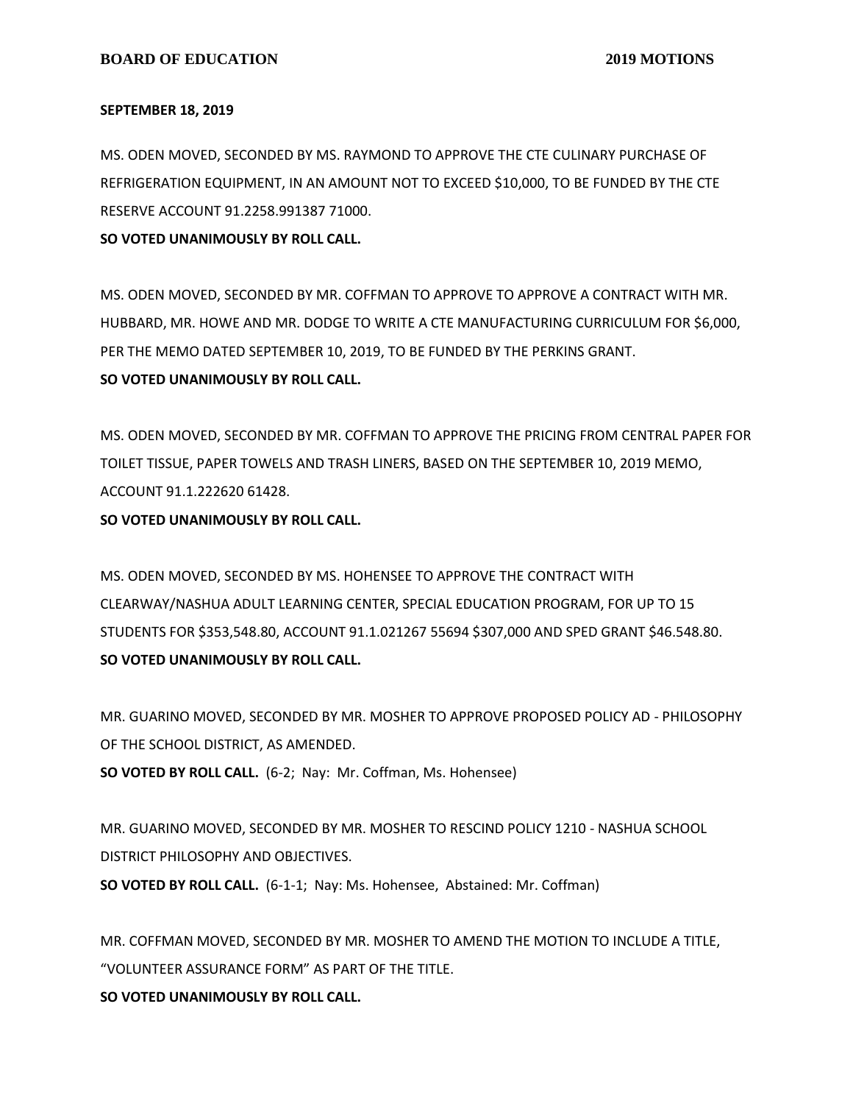#### **SEPTEMBER 18, 2019**

MS. ODEN MOVED, SECONDED BY MS. RAYMOND TO APPROVE THE CTE CULINARY PURCHASE OF REFRIGERATION EQUIPMENT, IN AN AMOUNT NOT TO EXCEED \$10,000, TO BE FUNDED BY THE CTE RESERVE ACCOUNT 91.2258.991387 71000.

**SO VOTED UNANIMOUSLY BY ROLL CALL.**

MS. ODEN MOVED, SECONDED BY MR. COFFMAN TO APPROVE TO APPROVE A CONTRACT WITH MR. HUBBARD, MR. HOWE AND MR. DODGE TO WRITE A CTE MANUFACTURING CURRICULUM FOR \$6,000, PER THE MEMO DATED SEPTEMBER 10, 2019, TO BE FUNDED BY THE PERKINS GRANT. **SO VOTED UNANIMOUSLY BY ROLL CALL.**

MS. ODEN MOVED, SECONDED BY MR. COFFMAN TO APPROVE THE PRICING FROM CENTRAL PAPER FOR TOILET TISSUE, PAPER TOWELS AND TRASH LINERS, BASED ON THE SEPTEMBER 10, 2019 MEMO, ACCOUNT 91.1.222620 61428.

**SO VOTED UNANIMOUSLY BY ROLL CALL.**

MS. ODEN MOVED, SECONDED BY MS. HOHENSEE TO APPROVE THE CONTRACT WITH CLEARWAY/NASHUA ADULT LEARNING CENTER, SPECIAL EDUCATION PROGRAM, FOR UP TO 15 STUDENTS FOR \$353,548.80, ACCOUNT 91.1.021267 55694 \$307,000 AND SPED GRANT \$46.548.80. **SO VOTED UNANIMOUSLY BY ROLL CALL.**

MR. GUARINO MOVED, SECONDED BY MR. MOSHER TO APPROVE PROPOSED POLICY AD - PHILOSOPHY OF THE SCHOOL DISTRICT, AS AMENDED.

**SO VOTED BY ROLL CALL.** (6-2; Nay: Mr. Coffman, Ms. Hohensee)

MR. GUARINO MOVED, SECONDED BY MR. MOSHER TO RESCIND POLICY 1210 - NASHUA SCHOOL DISTRICT PHILOSOPHY AND OBJECTIVES.

**SO VOTED BY ROLL CALL.** (6-1-1; Nay: Ms. Hohensee, Abstained: Mr. Coffman)

MR. COFFMAN MOVED, SECONDED BY MR. MOSHER TO AMEND THE MOTION TO INCLUDE A TITLE, "VOLUNTEER ASSURANCE FORM" AS PART OF THE TITLE.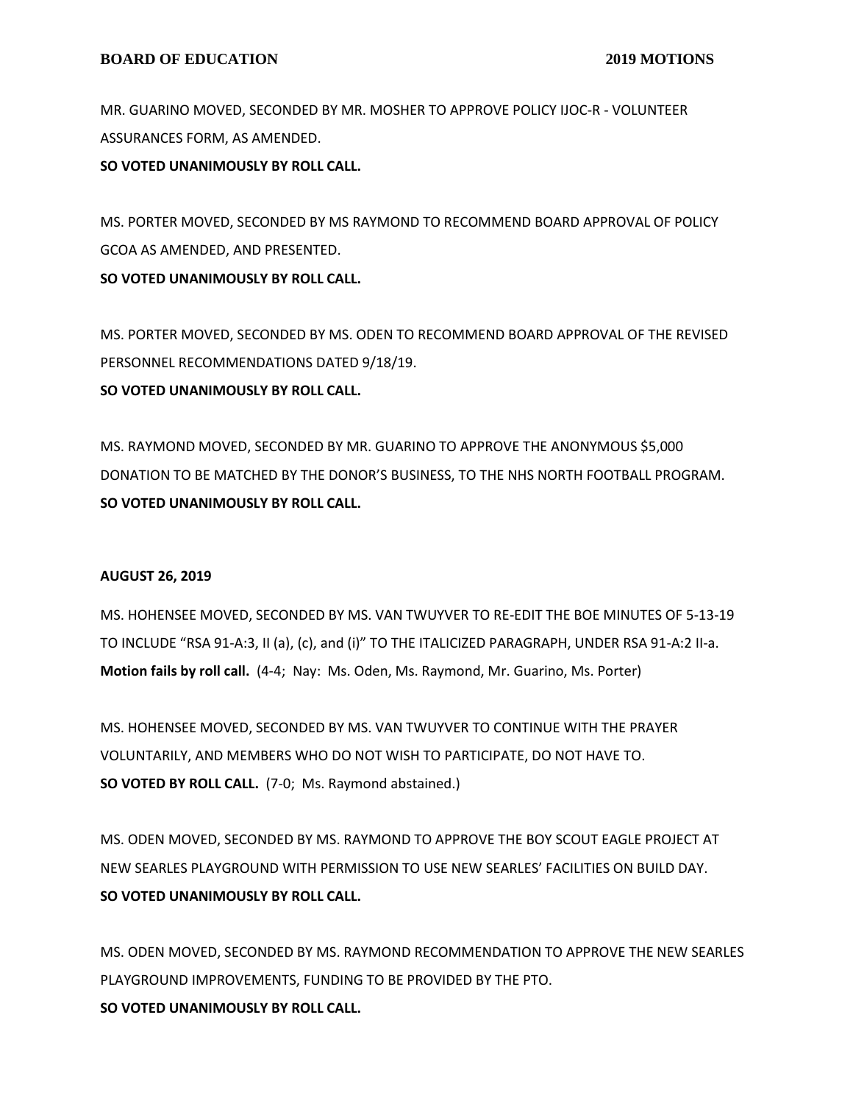MR. GUARINO MOVED, SECONDED BY MR. MOSHER TO APPROVE POLICY IJOC-R - VOLUNTEER ASSURANCES FORM, AS AMENDED.

**SO VOTED UNANIMOUSLY BY ROLL CALL.**

MS. PORTER MOVED, SECONDED BY MS RAYMOND TO RECOMMEND BOARD APPROVAL OF POLICY GCOA AS AMENDED, AND PRESENTED.

**SO VOTED UNANIMOUSLY BY ROLL CALL.**

MS. PORTER MOVED, SECONDED BY MS. ODEN TO RECOMMEND BOARD APPROVAL OF THE REVISED PERSONNEL RECOMMENDATIONS DATED 9/18/19. **SO VOTED UNANIMOUSLY BY ROLL CALL.**

MS. RAYMOND MOVED, SECONDED BY MR. GUARINO TO APPROVE THE ANONYMOUS \$5,000 DONATION TO BE MATCHED BY THE DONOR'S BUSINESS, TO THE NHS NORTH FOOTBALL PROGRAM. **SO VOTED UNANIMOUSLY BY ROLL CALL.**

## **AUGUST 26, 2019**

MS. HOHENSEE MOVED, SECONDED BY MS. VAN TWUYVER TO RE-EDIT THE BOE MINUTES OF 5-13-19 TO INCLUDE "RSA 91-A:3, II (a), (c), and (i)" TO THE ITALICIZED PARAGRAPH, UNDER RSA 91-A:2 II-a. **Motion fails by roll call.** (4-4; Nay: Ms. Oden, Ms. Raymond, Mr. Guarino, Ms. Porter)

MS. HOHENSEE MOVED, SECONDED BY MS. VAN TWUYVER TO CONTINUE WITH THE PRAYER VOLUNTARILY, AND MEMBERS WHO DO NOT WISH TO PARTICIPATE, DO NOT HAVE TO. **SO VOTED BY ROLL CALL.** (7-0; Ms. Raymond abstained.)

MS. ODEN MOVED, SECONDED BY MS. RAYMOND TO APPROVE THE BOY SCOUT EAGLE PROJECT AT NEW SEARLES PLAYGROUND WITH PERMISSION TO USE NEW SEARLES' FACILITIES ON BUILD DAY. **SO VOTED UNANIMOUSLY BY ROLL CALL.**

MS. ODEN MOVED, SECONDED BY MS. RAYMOND RECOMMENDATION TO APPROVE THE NEW SEARLES PLAYGROUND IMPROVEMENTS, FUNDING TO BE PROVIDED BY THE PTO. **SO VOTED UNANIMOUSLY BY ROLL CALL.**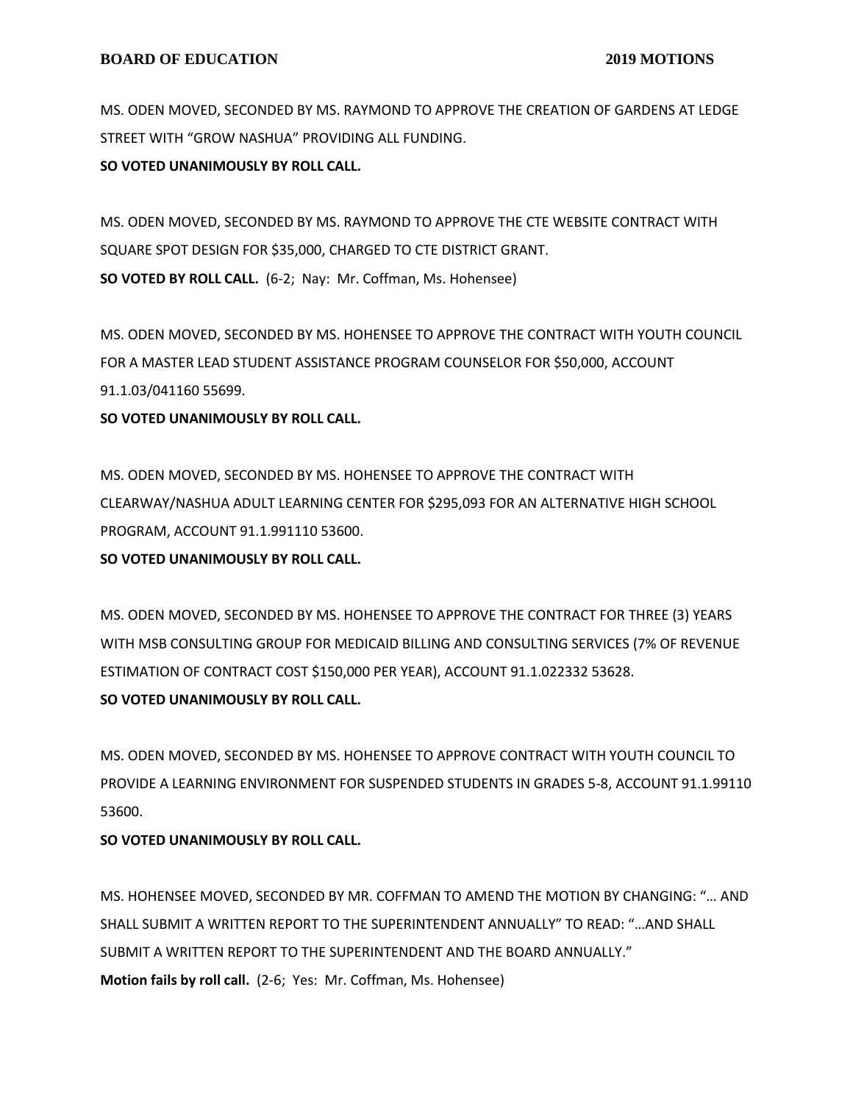MS. ODEN MOVED, SECONDED BY MS. RAYMOND TO APPROVE THE CREATION OF GARDENS AT LEDGE STREET WITH "GROW NASHUA" PROVIDING ALL FUNDING.

#### **SO VOTED UNANIMOUSLY BY ROLL CALL.**

MS. ODEN MOVED, SECONDED BY MS. RAYMOND TO APPROVE THE CTE WEBSITE CONTRACT WITH SQUARE SPOT DESIGN FOR \$35,000, CHARGED TO CTE DISTRICT GRANT. **SO VOTED BY ROLL CALL.** (6-2; Nay: Mr. Coffman, Ms. Hohensee)

MS. ODEN MOVED, SECONDED BY MS. HOHENSEE TO APPROVE THE CONTRACT WITH YOUTH COUNCIL FOR A MASTER LEAD STUDENT ASSISTANCE PROGRAM COUNSELOR FOR \$50,000, ACCOUNT 91.1.03/041160 55699.

#### **SO VOTED UNANIMOUSLY BY ROLL CALL.**

MS. ODEN MOVED, SECONDED BY MS. HOHENSEE TO APPROVE THE CONTRACT WITH CLEARWAY/NASHUA ADULT LEARNING CENTER FOR \$295,093 FOR AN ALTERNATIVE HIGH SCHOOL PROGRAM, ACCOUNT 91.1.991110 53600.

## **SO VOTED UNANIMOUSLY BY ROLL CALL.**

MS. ODEN MOVED, SECONDED BY MS. HOHENSEE TO APPROVE THE CONTRACT FOR THREE (3) YEARS WITH MSB CONSULTING GROUP FOR MEDICAID BILLING AND CONSULTING SERVICES (7% OF REVENUE ESTIMATION OF CONTRACT COST \$150,000 PER YEAR), ACCOUNT 91.1.022332 53628. **SO VOTED UNANIMOUSLY BY ROLL CALL.**

MS. ODEN MOVED, SECONDED BY MS. HOHENSEE TO APPROVE CONTRACT WITH YOUTH COUNCIL TO PROVIDE A LEARNING ENVIRONMENT FOR SUSPENDED STUDENTS IN GRADES 5-8, ACCOUNT 91.1.99110 53600.

## **SO VOTED UNANIMOUSLY BY ROLL CALL.**

MS. HOHENSEE MOVED, SECONDED BY MR. COFFMAN TO AMEND THE MOTION BY CHANGING: "… AND SHALL SUBMIT A WRITTEN REPORT TO THE SUPERINTENDENT ANNUALLY" TO READ: "…AND SHALL SUBMIT A WRITTEN REPORT TO THE SUPERINTENDENT AND THE BOARD ANNUALLY." **Motion fails by roll call.** (2-6; Yes: Mr. Coffman, Ms. Hohensee)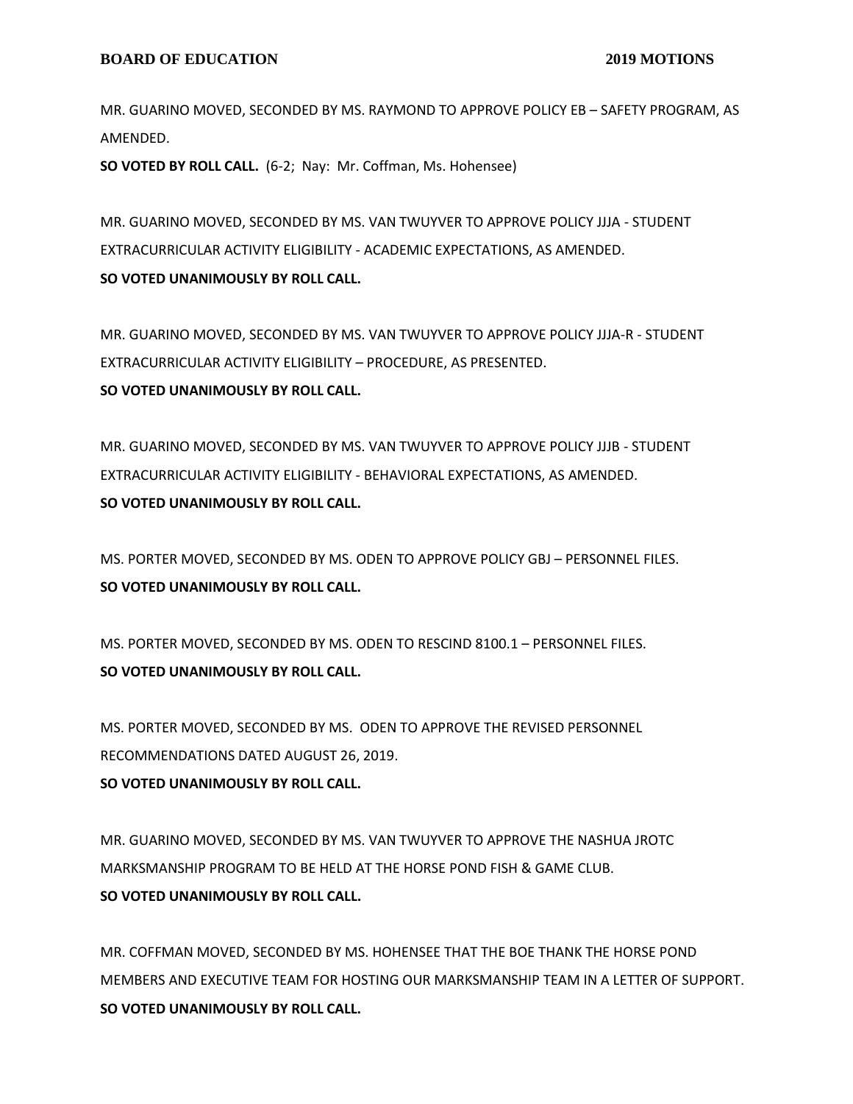MR. GUARINO MOVED, SECONDED BY MS. RAYMOND TO APPROVE POLICY EB – SAFETY PROGRAM, AS AMENDED.

**SO VOTED BY ROLL CALL.** (6-2; Nay: Mr. Coffman, Ms. Hohensee)

MR. GUARINO MOVED, SECONDED BY MS. VAN TWUYVER TO APPROVE POLICY JJJA - STUDENT EXTRACURRICULAR ACTIVITY ELIGIBILITY - ACADEMIC EXPECTATIONS, AS AMENDED. **SO VOTED UNANIMOUSLY BY ROLL CALL.**

MR. GUARINO MOVED, SECONDED BY MS. VAN TWUYVER TO APPROVE POLICY JJJA-R - STUDENT EXTRACURRICULAR ACTIVITY ELIGIBILITY – PROCEDURE, AS PRESENTED. **SO VOTED UNANIMOUSLY BY ROLL CALL.**

MR. GUARINO MOVED, SECONDED BY MS. VAN TWUYVER TO APPROVE POLICY JJJB - STUDENT EXTRACURRICULAR ACTIVITY ELIGIBILITY - BEHAVIORAL EXPECTATIONS, AS AMENDED. **SO VOTED UNANIMOUSLY BY ROLL CALL.**

MS. PORTER MOVED, SECONDED BY MS. ODEN TO APPROVE POLICY GBJ – PERSONNEL FILES. **SO VOTED UNANIMOUSLY BY ROLL CALL.**

MS. PORTER MOVED, SECONDED BY MS. ODEN TO RESCIND 8100.1 – PERSONNEL FILES. **SO VOTED UNANIMOUSLY BY ROLL CALL.**

MS. PORTER MOVED, SECONDED BY MS. ODEN TO APPROVE THE REVISED PERSONNEL RECOMMENDATIONS DATED AUGUST 26, 2019. **SO VOTED UNANIMOUSLY BY ROLL CALL.**

MR. GUARINO MOVED, SECONDED BY MS. VAN TWUYVER TO APPROVE THE NASHUA JROTC MARKSMANSHIP PROGRAM TO BE HELD AT THE HORSE POND FISH & GAME CLUB. **SO VOTED UNANIMOUSLY BY ROLL CALL.**

MR. COFFMAN MOVED, SECONDED BY MS. HOHENSEE THAT THE BOE THANK THE HORSE POND MEMBERS AND EXECUTIVE TEAM FOR HOSTING OUR MARKSMANSHIP TEAM IN A LETTER OF SUPPORT. **SO VOTED UNANIMOUSLY BY ROLL CALL.**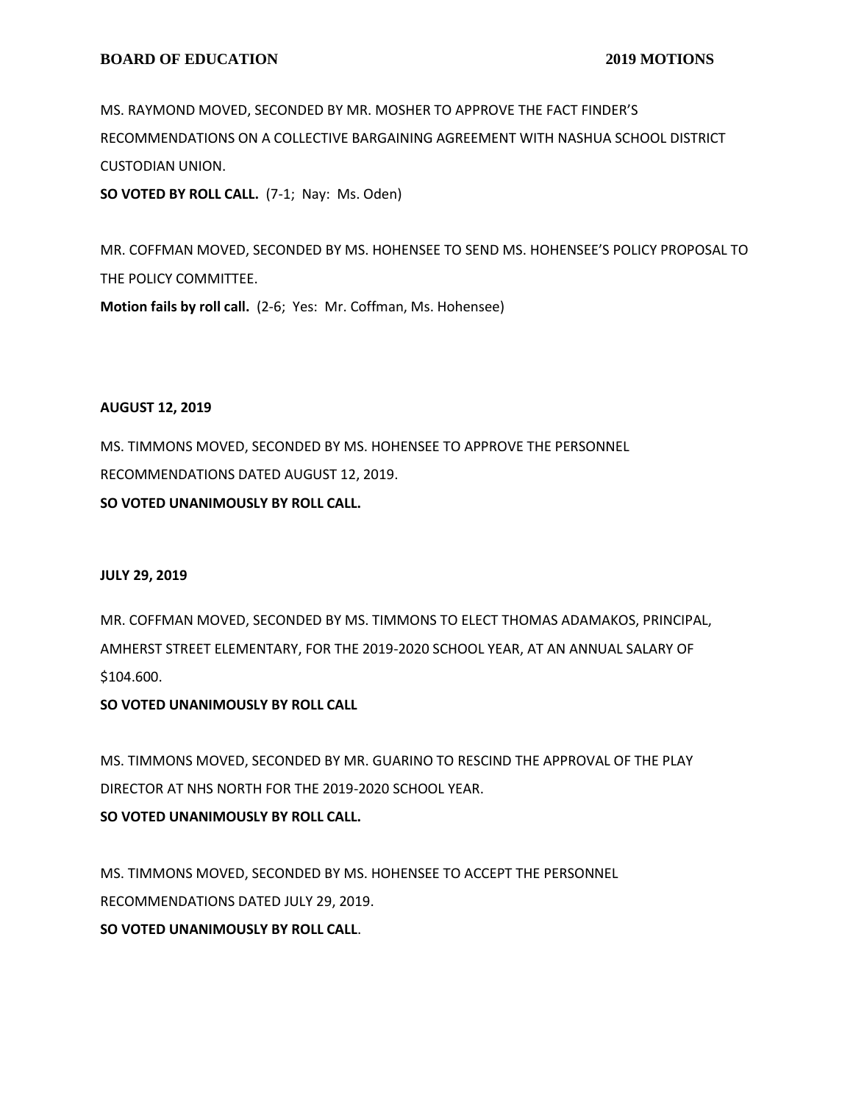MS. RAYMOND MOVED, SECONDED BY MR. MOSHER TO APPROVE THE FACT FINDER'S RECOMMENDATIONS ON A COLLECTIVE BARGAINING AGREEMENT WITH NASHUA SCHOOL DISTRICT CUSTODIAN UNION.

**SO VOTED BY ROLL CALL.** (7-1; Nay: Ms. Oden)

MR. COFFMAN MOVED, SECONDED BY MS. HOHENSEE TO SEND MS. HOHENSEE'S POLICY PROPOSAL TO THE POLICY COMMITTEE.

**Motion fails by roll call.** (2-6; Yes: Mr. Coffman, Ms. Hohensee)

## **AUGUST 12, 2019**

MS. TIMMONS MOVED, SECONDED BY MS. HOHENSEE TO APPROVE THE PERSONNEL RECOMMENDATIONS DATED AUGUST 12, 2019.

**SO VOTED UNANIMOUSLY BY ROLL CALL.**

# **JULY 29, 2019**

MR. COFFMAN MOVED, SECONDED BY MS. TIMMONS TO ELECT THOMAS ADAMAKOS, PRINCIPAL, AMHERST STREET ELEMENTARY, FOR THE 2019-2020 SCHOOL YEAR, AT AN ANNUAL SALARY OF \$104.600.

# **SO VOTED UNANIMOUSLY BY ROLL CALL**

MS. TIMMONS MOVED, SECONDED BY MR. GUARINO TO RESCIND THE APPROVAL OF THE PLAY DIRECTOR AT NHS NORTH FOR THE 2019-2020 SCHOOL YEAR.

# **SO VOTED UNANIMOUSLY BY ROLL CALL.**

MS. TIMMONS MOVED, SECONDED BY MS. HOHENSEE TO ACCEPT THE PERSONNEL RECOMMENDATIONS DATED JULY 29, 2019. **SO VOTED UNANIMOUSLY BY ROLL CALL**.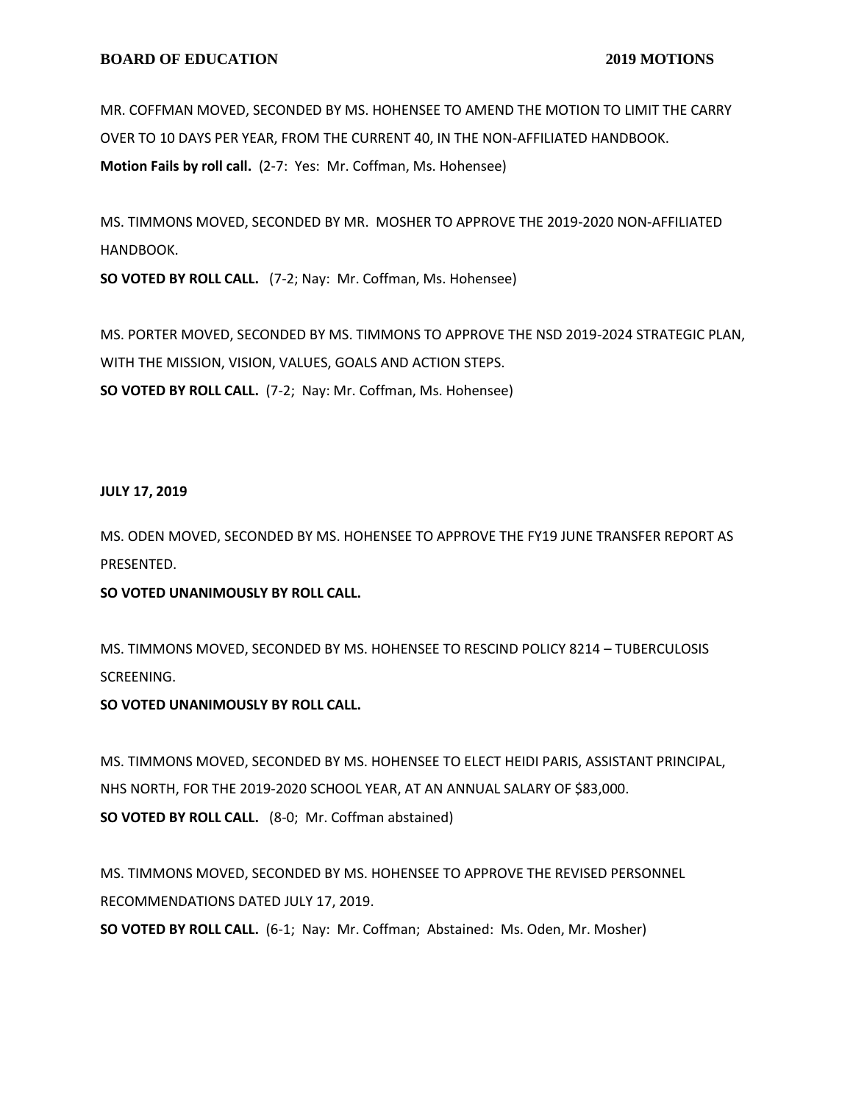MR. COFFMAN MOVED, SECONDED BY MS. HOHENSEE TO AMEND THE MOTION TO LIMIT THE CARRY OVER TO 10 DAYS PER YEAR, FROM THE CURRENT 40, IN THE NON-AFFILIATED HANDBOOK. **Motion Fails by roll call.** (2-7: Yes: Mr. Coffman, Ms. Hohensee)

MS. TIMMONS MOVED, SECONDED BY MR. MOSHER TO APPROVE THE 2019-2020 NON-AFFILIATED HANDBOOK.

**SO VOTED BY ROLL CALL.** (7-2; Nay: Mr. Coffman, Ms. Hohensee)

MS. PORTER MOVED, SECONDED BY MS. TIMMONS TO APPROVE THE NSD 2019-2024 STRATEGIC PLAN, WITH THE MISSION, VISION, VALUES, GOALS AND ACTION STEPS. **SO VOTED BY ROLL CALL.** (7-2; Nay: Mr. Coffman, Ms. Hohensee)

#### **JULY 17, 2019**

MS. ODEN MOVED, SECONDED BY MS. HOHENSEE TO APPROVE THE FY19 JUNE TRANSFER REPORT AS PRESENTED.

## **SO VOTED UNANIMOUSLY BY ROLL CALL.**

MS. TIMMONS MOVED, SECONDED BY MS. HOHENSEE TO RESCIND POLICY 8214 – TUBERCULOSIS SCREENING.

## **SO VOTED UNANIMOUSLY BY ROLL CALL.**

MS. TIMMONS MOVED, SECONDED BY MS. HOHENSEE TO ELECT HEIDI PARIS, ASSISTANT PRINCIPAL, NHS NORTH, FOR THE 2019-2020 SCHOOL YEAR, AT AN ANNUAL SALARY OF \$83,000. **SO VOTED BY ROLL CALL.** (8-0; Mr. Coffman abstained)

MS. TIMMONS MOVED, SECONDED BY MS. HOHENSEE TO APPROVE THE REVISED PERSONNEL RECOMMENDATIONS DATED JULY 17, 2019.

**SO VOTED BY ROLL CALL.** (6-1; Nay: Mr. Coffman; Abstained: Ms. Oden, Mr. Mosher)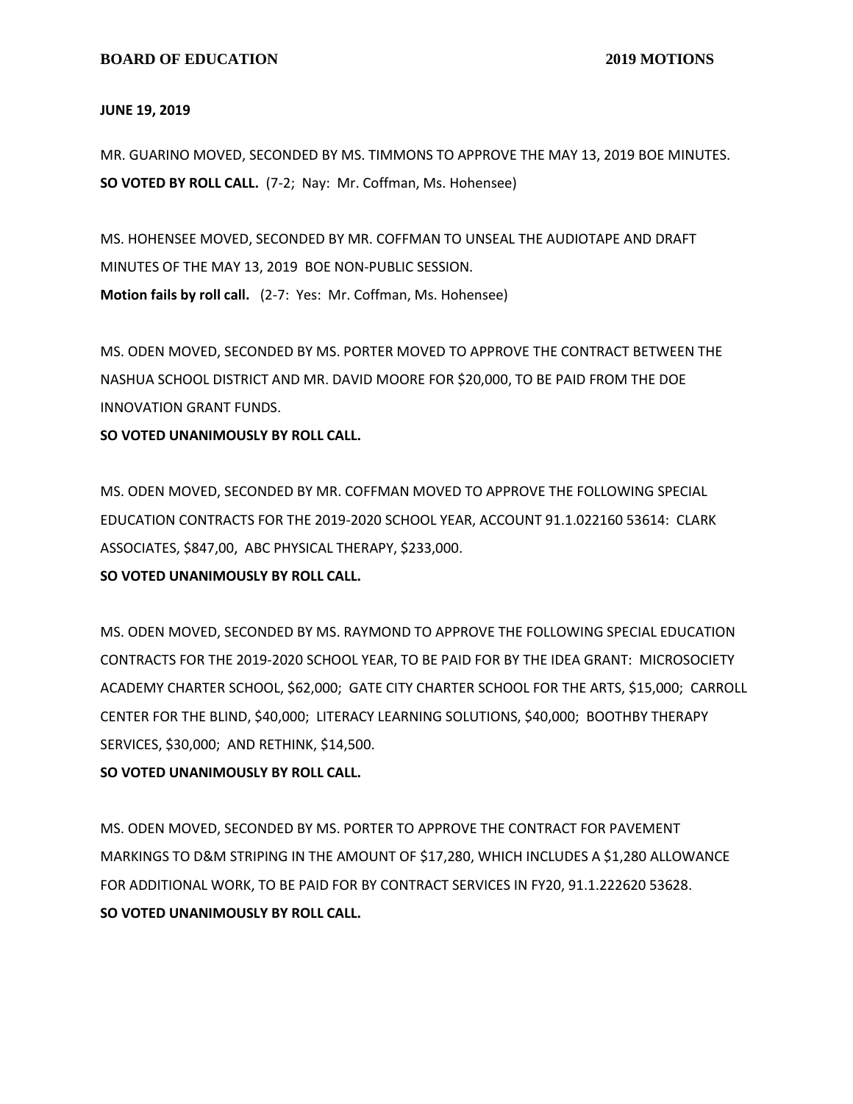#### **JUNE 19, 2019**

MR. GUARINO MOVED, SECONDED BY MS. TIMMONS TO APPROVE THE MAY 13, 2019 BOE MINUTES. **SO VOTED BY ROLL CALL.** (7-2; Nay: Mr. Coffman, Ms. Hohensee)

MS. HOHENSEE MOVED, SECONDED BY MR. COFFMAN TO UNSEAL THE AUDIOTAPE AND DRAFT MINUTES OF THE MAY 13, 2019 BOE NON-PUBLIC SESSION. **Motion fails by roll call.** (2-7: Yes: Mr. Coffman, Ms. Hohensee)

MS. ODEN MOVED, SECONDED BY MS. PORTER MOVED TO APPROVE THE CONTRACT BETWEEN THE NASHUA SCHOOL DISTRICT AND MR. DAVID MOORE FOR \$20,000, TO BE PAID FROM THE DOE INNOVATION GRANT FUNDS.

#### **SO VOTED UNANIMOUSLY BY ROLL CALL.**

MS. ODEN MOVED, SECONDED BY MR. COFFMAN MOVED TO APPROVE THE FOLLOWING SPECIAL EDUCATION CONTRACTS FOR THE 2019-2020 SCHOOL YEAR, ACCOUNT 91.1.022160 53614: CLARK ASSOCIATES, \$847,00, ABC PHYSICAL THERAPY, \$233,000.

## **SO VOTED UNANIMOUSLY BY ROLL CALL.**

MS. ODEN MOVED, SECONDED BY MS. RAYMOND TO APPROVE THE FOLLOWING SPECIAL EDUCATION CONTRACTS FOR THE 2019-2020 SCHOOL YEAR, TO BE PAID FOR BY THE IDEA GRANT: MICROSOCIETY ACADEMY CHARTER SCHOOL, \$62,000; GATE CITY CHARTER SCHOOL FOR THE ARTS, \$15,000; CARROLL CENTER FOR THE BLIND, \$40,000; LITERACY LEARNING SOLUTIONS, \$40,000; BOOTHBY THERAPY SERVICES, \$30,000; AND RETHINK, \$14,500.

#### **SO VOTED UNANIMOUSLY BY ROLL CALL.**

MS. ODEN MOVED, SECONDED BY MS. PORTER TO APPROVE THE CONTRACT FOR PAVEMENT MARKINGS TO D&M STRIPING IN THE AMOUNT OF \$17,280, WHICH INCLUDES A \$1,280 ALLOWANCE FOR ADDITIONAL WORK, TO BE PAID FOR BY CONTRACT SERVICES IN FY20, 91.1.222620 53628. **SO VOTED UNANIMOUSLY BY ROLL CALL.**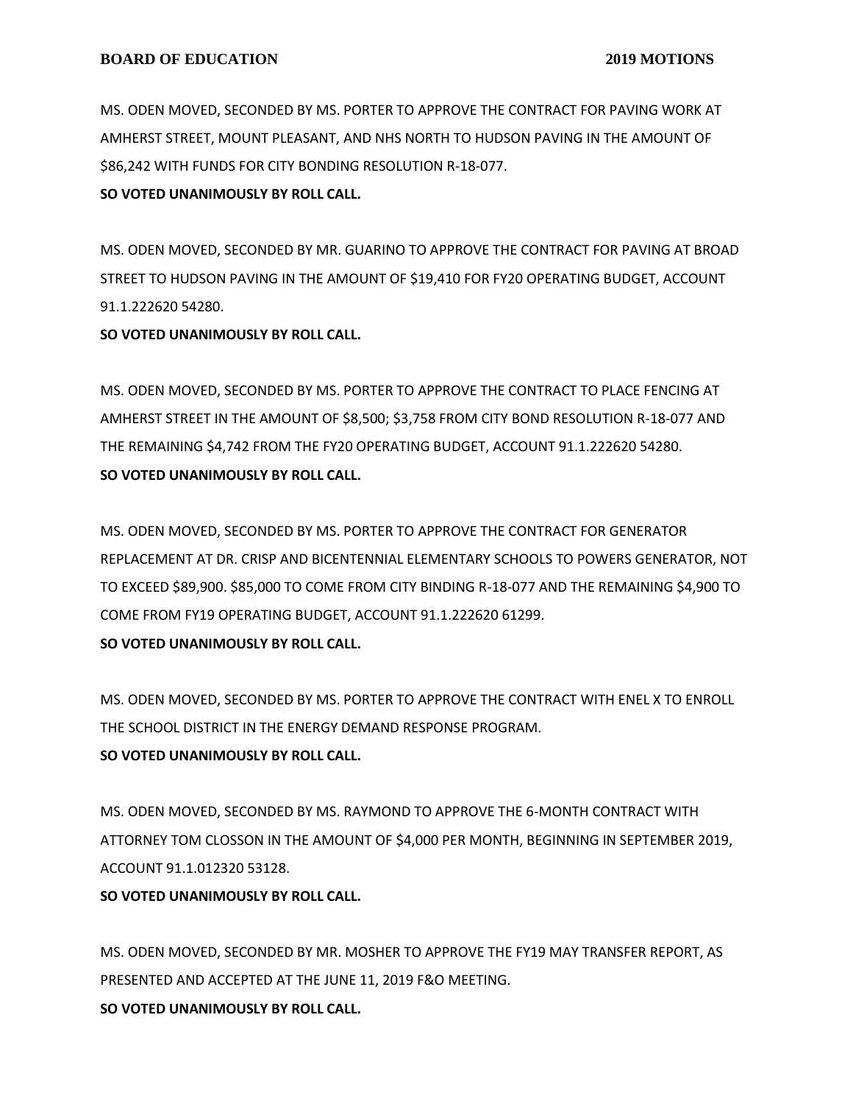MS. ODEN MOVED, SECONDED BY MS. PORTER TO APPROVE THE CONTRACT FOR PAVING WORK AT AMHERST STREET, MOUNT PLEASANT, AND NHS NORTH TO HUDSON PAVING IN THE AMOUNT OF \$86,242 WITH FUNDS FOR CITY BONDING RESOLUTION R-18-077.

# **SO VOTED UNANIMOUSLY BY ROLL CALL.**

MS. ODEN MOVED, SECONDED BY MR. GUARINO TO APPROVE THE CONTRACT FOR PAVING AT BROAD STREET TO HUDSON PAVING IN THE AMOUNT OF \$19,410 FOR FY20 OPERATING BUDGET, ACCOUNT 91.1.222620 54280.

## **SO VOTED UNANIMOUSLY BY ROLL CALL.**

MS. ODEN MOVED, SECONDED BY MS. PORTER TO APPROVE THE CONTRACT TO PLACE FENCING AT AMHERST STREET IN THE AMOUNT OF \$8,500; \$3,758 FROM CITY BOND RESOLUTION R-18-077 AND THE REMAINING \$4,742 FROM THE FY20 OPERATING BUDGET, ACCOUNT 91.1.222620 54280. **SO VOTED UNANIMOUSLY BY ROLL CALL.**

MS. ODEN MOVED, SECONDED BY MS. PORTER TO APPROVE THE CONTRACT FOR GENERATOR REPLACEMENT AT DR. CRISP AND BICENTENNIAL ELEMENTARY SCHOOLS TO POWERS GENERATOR, NOT TO EXCEED \$89,900. \$85,000 TO COME FROM CITY BINDING R-18-077 AND THE REMAINING \$4,900 TO COME FROM FY19 OPERATING BUDGET, ACCOUNT 91.1.222620 61299.

# **SO VOTED UNANIMOUSLY BY ROLL CALL.**

MS. ODEN MOVED, SECONDED BY MS. PORTER TO APPROVE THE CONTRACT WITH ENEL X TO ENROLL THE SCHOOL DISTRICT IN THE ENERGY DEMAND RESPONSE PROGRAM. **SO VOTED UNANIMOUSLY BY ROLL CALL.**

MS. ODEN MOVED, SECONDED BY MS. RAYMOND TO APPROVE THE 6-MONTH CONTRACT WITH ATTORNEY TOM CLOSSON IN THE AMOUNT OF \$4,000 PER MONTH, BEGINNING IN SEPTEMBER 2019, ACCOUNT 91.1.012320 53128.

# **SO VOTED UNANIMOUSLY BY ROLL CALL.**

MS. ODEN MOVED, SECONDED BY MR. MOSHER TO APPROVE THE FY19 MAY TRANSFER REPORT, AS PRESENTED AND ACCEPTED AT THE JUNE 11, 2019 F&O MEETING. **SO VOTED UNANIMOUSLY BY ROLL CALL.**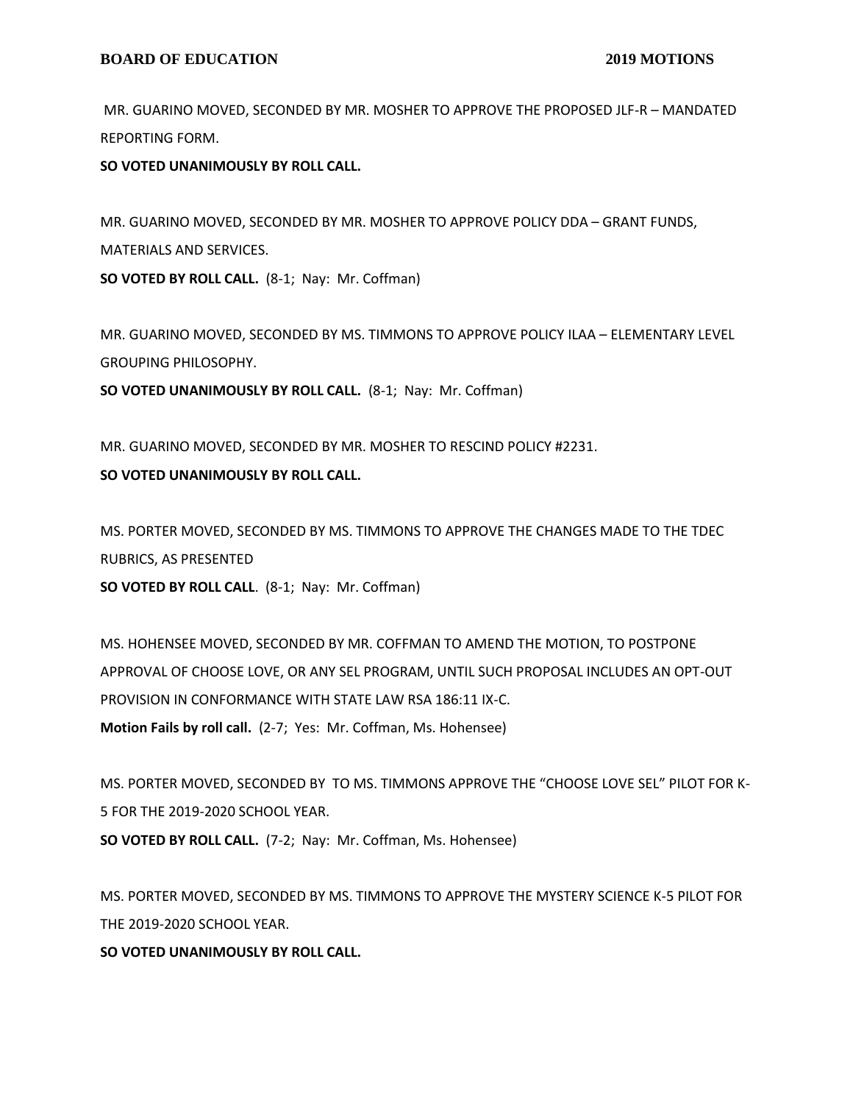MR. GUARINO MOVED, SECONDED BY MR. MOSHER TO APPROVE THE PROPOSED JLF-R – MANDATED REPORTING FORM.

**SO VOTED UNANIMOUSLY BY ROLL CALL.**

MR. GUARINO MOVED, SECONDED BY MR. MOSHER TO APPROVE POLICY DDA – GRANT FUNDS, MATERIALS AND SERVICES. **SO VOTED BY ROLL CALL.** (8-1; Nay: Mr. Coffman)

MR. GUARINO MOVED, SECONDED BY MS. TIMMONS TO APPROVE POLICY ILAA – ELEMENTARY LEVEL GROUPING PHILOSOPHY.

**SO VOTED UNANIMOUSLY BY ROLL CALL.** (8-1; Nay: Mr. Coffman)

MR. GUARINO MOVED, SECONDED BY MR. MOSHER TO RESCIND POLICY #2231.

## **SO VOTED UNANIMOUSLY BY ROLL CALL.**

MS. PORTER MOVED, SECONDED BY MS. TIMMONS TO APPROVE THE CHANGES MADE TO THE TDEC RUBRICS, AS PRESENTED **SO VOTED BY ROLL CALL**. (8-1; Nay: Mr. Coffman)

MS. HOHENSEE MOVED, SECONDED BY MR. COFFMAN TO AMEND THE MOTION, TO POSTPONE APPROVAL OF CHOOSE LOVE, OR ANY SEL PROGRAM, UNTIL SUCH PROPOSAL INCLUDES AN OPT-OUT PROVISION IN CONFORMANCE WITH STATE LAW RSA 186:11 IX-C. **Motion Fails by roll call.** (2-7; Yes: Mr. Coffman, Ms. Hohensee)

MS. PORTER MOVED, SECONDED BY TO MS. TIMMONS APPROVE THE "CHOOSE LOVE SEL" PILOT FOR K-5 FOR THE 2019-2020 SCHOOL YEAR.

**SO VOTED BY ROLL CALL.** (7-2; Nay: Mr. Coffman, Ms. Hohensee)

MS. PORTER MOVED, SECONDED BY MS. TIMMONS TO APPROVE THE MYSTERY SCIENCE K-5 PILOT FOR THE 2019-2020 SCHOOL YEAR.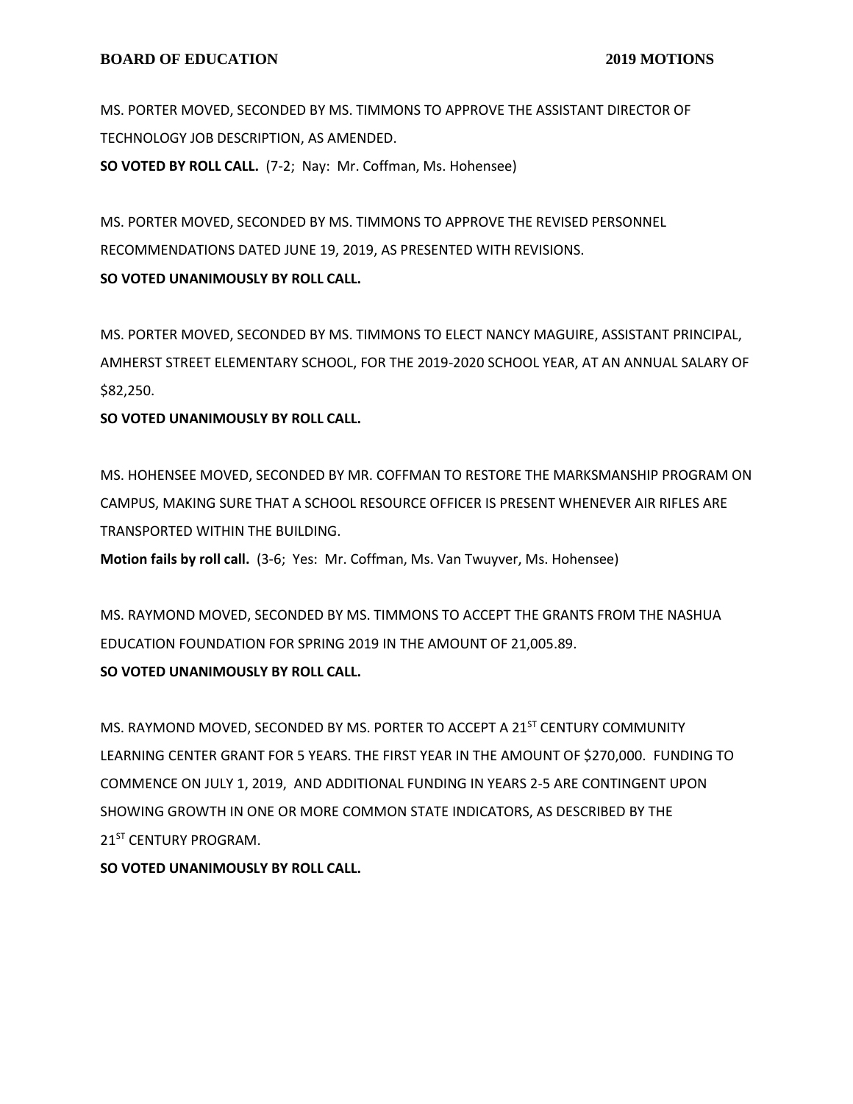MS. PORTER MOVED, SECONDED BY MS. TIMMONS TO APPROVE THE ASSISTANT DIRECTOR OF TECHNOLOGY JOB DESCRIPTION, AS AMENDED. **SO VOTED BY ROLL CALL.** (7-2; Nay: Mr. Coffman, Ms. Hohensee)

MS. PORTER MOVED, SECONDED BY MS. TIMMONS TO APPROVE THE REVISED PERSONNEL RECOMMENDATIONS DATED JUNE 19, 2019, AS PRESENTED WITH REVISIONS. **SO VOTED UNANIMOUSLY BY ROLL CALL.**

MS. PORTER MOVED, SECONDED BY MS. TIMMONS TO ELECT NANCY MAGUIRE, ASSISTANT PRINCIPAL, AMHERST STREET ELEMENTARY SCHOOL, FOR THE 2019-2020 SCHOOL YEAR, AT AN ANNUAL SALARY OF \$82,250.

**SO VOTED UNANIMOUSLY BY ROLL CALL.**

MS. HOHENSEE MOVED, SECONDED BY MR. COFFMAN TO RESTORE THE MARKSMANSHIP PROGRAM ON CAMPUS, MAKING SURE THAT A SCHOOL RESOURCE OFFICER IS PRESENT WHENEVER AIR RIFLES ARE TRANSPORTED WITHIN THE BUILDING.

**Motion fails by roll call.** (3-6; Yes: Mr. Coffman, Ms. Van Twuyver, Ms. Hohensee)

MS. RAYMOND MOVED, SECONDED BY MS. TIMMONS TO ACCEPT THE GRANTS FROM THE NASHUA EDUCATION FOUNDATION FOR SPRING 2019 IN THE AMOUNT OF 21,005.89.

# **SO VOTED UNANIMOUSLY BY ROLL CALL.**

MS. RAYMOND MOVED, SECONDED BY MS. PORTER TO ACCEPT A 21<sup>ST</sup> CENTURY COMMUNITY LEARNING CENTER GRANT FOR 5 YEARS. THE FIRST YEAR IN THE AMOUNT OF \$270,000. FUNDING TO COMMENCE ON JULY 1, 2019, AND ADDITIONAL FUNDING IN YEARS 2-5 ARE CONTINGENT UPON SHOWING GROWTH IN ONE OR MORE COMMON STATE INDICATORS, AS DESCRIBED BY THE 21ST CENTURY PROGRAM.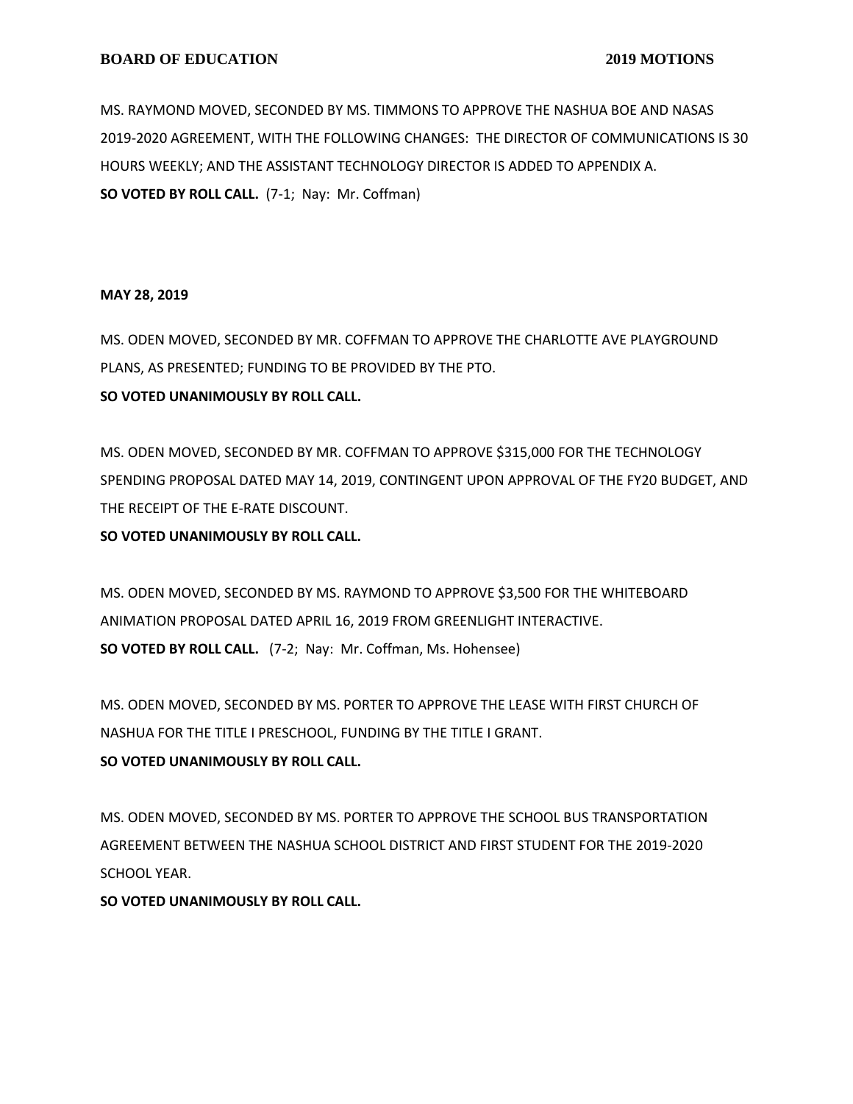#### **BOARD OF EDUCATION** 2019 MOTIONS

MS. RAYMOND MOVED, SECONDED BY MS. TIMMONS TO APPROVE THE NASHUA BOE AND NASAS 2019-2020 AGREEMENT, WITH THE FOLLOWING CHANGES: THE DIRECTOR OF COMMUNICATIONS IS 30 HOURS WEEKLY; AND THE ASSISTANT TECHNOLOGY DIRECTOR IS ADDED TO APPENDIX A. **SO VOTED BY ROLL CALL.** (7-1; Nay: Mr. Coffman)

#### **MAY 28, 2019**

MS. ODEN MOVED, SECONDED BY MR. COFFMAN TO APPROVE THE CHARLOTTE AVE PLAYGROUND PLANS, AS PRESENTED; FUNDING TO BE PROVIDED BY THE PTO.

#### **SO VOTED UNANIMOUSLY BY ROLL CALL.**

MS. ODEN MOVED, SECONDED BY MR. COFFMAN TO APPROVE \$315,000 FOR THE TECHNOLOGY SPENDING PROPOSAL DATED MAY 14, 2019, CONTINGENT UPON APPROVAL OF THE FY20 BUDGET, AND THE RECEIPT OF THE E-RATE DISCOUNT.

## **SO VOTED UNANIMOUSLY BY ROLL CALL.**

MS. ODEN MOVED, SECONDED BY MS. RAYMOND TO APPROVE \$3,500 FOR THE WHITEBOARD ANIMATION PROPOSAL DATED APRIL 16, 2019 FROM GREENLIGHT INTERACTIVE. **SO VOTED BY ROLL CALL.** (7-2; Nay: Mr. Coffman, Ms. Hohensee)

MS. ODEN MOVED, SECONDED BY MS. PORTER TO APPROVE THE LEASE WITH FIRST CHURCH OF NASHUA FOR THE TITLE I PRESCHOOL, FUNDING BY THE TITLE I GRANT. **SO VOTED UNANIMOUSLY BY ROLL CALL.**

MS. ODEN MOVED, SECONDED BY MS. PORTER TO APPROVE THE SCHOOL BUS TRANSPORTATION AGREEMENT BETWEEN THE NASHUA SCHOOL DISTRICT AND FIRST STUDENT FOR THE 2019-2020 SCHOOL YEAR.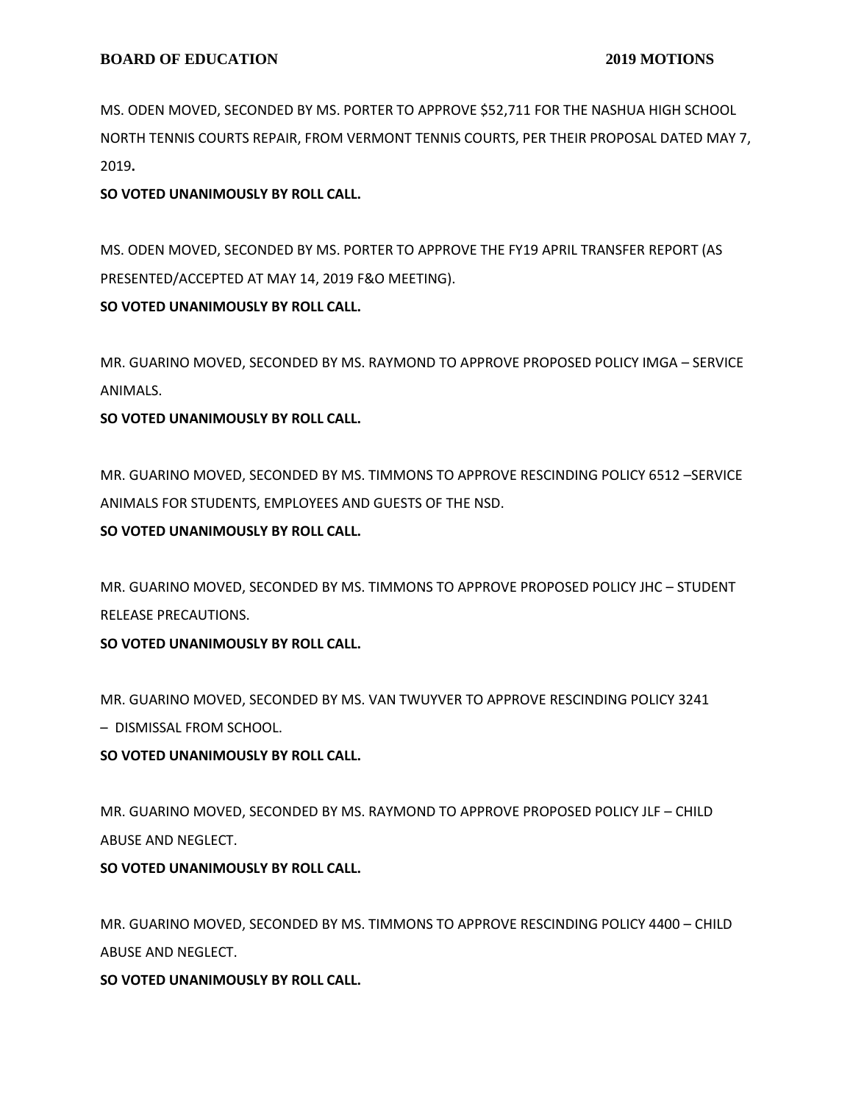MS. ODEN MOVED, SECONDED BY MS. PORTER TO APPROVE \$52,711 FOR THE NASHUA HIGH SCHOOL NORTH TENNIS COURTS REPAIR, FROM VERMONT TENNIS COURTS, PER THEIR PROPOSAL DATED MAY 7, 2019**.**

# **SO VOTED UNANIMOUSLY BY ROLL CALL.**

MS. ODEN MOVED, SECONDED BY MS. PORTER TO APPROVE THE FY19 APRIL TRANSFER REPORT (AS PRESENTED/ACCEPTED AT MAY 14, 2019 F&O MEETING).

## **SO VOTED UNANIMOUSLY BY ROLL CALL.**

MR. GUARINO MOVED, SECONDED BY MS. RAYMOND TO APPROVE PROPOSED POLICY IMGA – SERVICE ANIMALS.

## **SO VOTED UNANIMOUSLY BY ROLL CALL.**

MR. GUARINO MOVED, SECONDED BY MS. TIMMONS TO APPROVE RESCINDING POLICY 6512 –SERVICE ANIMALS FOR STUDENTS, EMPLOYEES AND GUESTS OF THE NSD.

## **SO VOTED UNANIMOUSLY BY ROLL CALL.**

MR. GUARINO MOVED, SECONDED BY MS. TIMMONS TO APPROVE PROPOSED POLICY JHC – STUDENT RELEASE PRECAUTIONS.

# **SO VOTED UNANIMOUSLY BY ROLL CALL.**

MR. GUARINO MOVED, SECONDED BY MS. VAN TWUYVER TO APPROVE RESCINDING POLICY 3241 – DISMISSAL FROM SCHOOL.

# **SO VOTED UNANIMOUSLY BY ROLL CALL.**

MR. GUARINO MOVED, SECONDED BY MS. RAYMOND TO APPROVE PROPOSED POLICY JLF – CHILD ABUSE AND NEGLECT.

# **SO VOTED UNANIMOUSLY BY ROLL CALL.**

MR. GUARINO MOVED, SECONDED BY MS. TIMMONS TO APPROVE RESCINDING POLICY 4400 – CHILD ABUSE AND NEGLECT.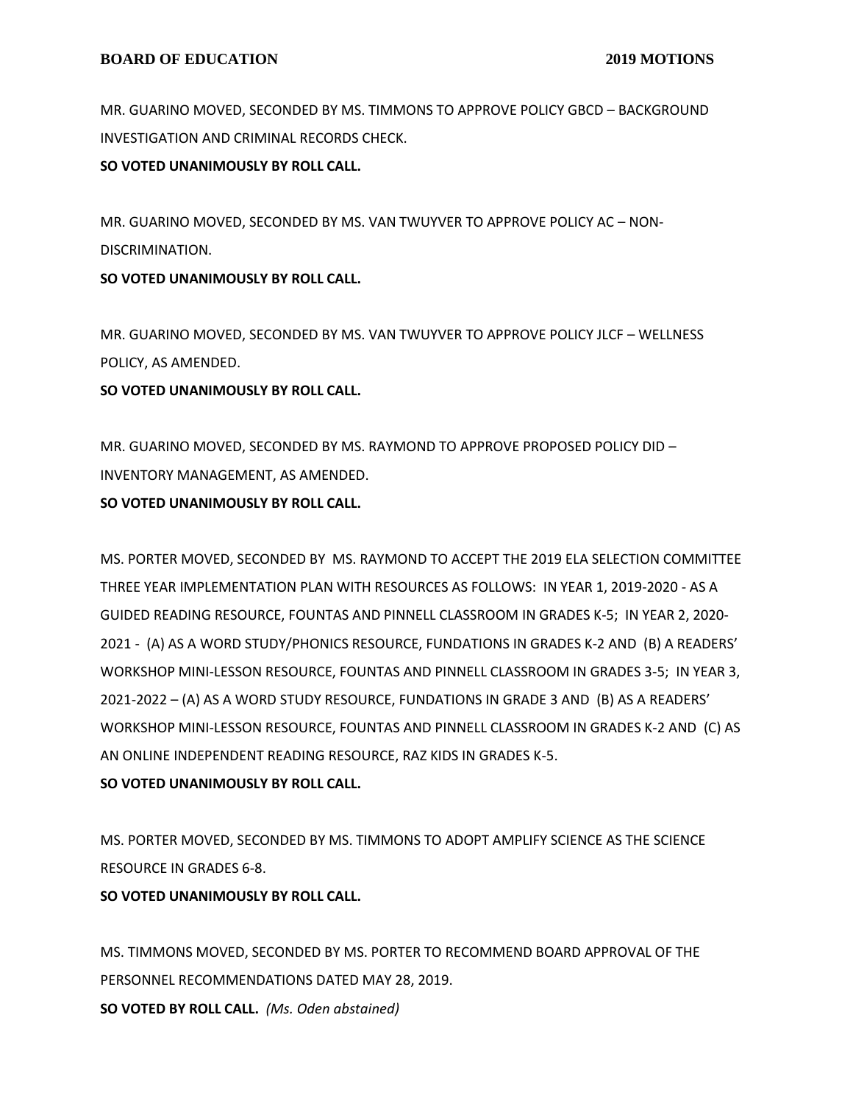MR. GUARINO MOVED, SECONDED BY MS. TIMMONS TO APPROVE POLICY GBCD – BACKGROUND INVESTIGATION AND CRIMINAL RECORDS CHECK.

**SO VOTED UNANIMOUSLY BY ROLL CALL.**

MR. GUARINO MOVED, SECONDED BY MS. VAN TWUYVER TO APPROVE POLICY AC – NON-DISCRIMINATION.

**SO VOTED UNANIMOUSLY BY ROLL CALL.**

MR. GUARINO MOVED, SECONDED BY MS. VAN TWUYVER TO APPROVE POLICY JLCF – WELLNESS POLICY, AS AMENDED.

## **SO VOTED UNANIMOUSLY BY ROLL CALL.**

MR. GUARINO MOVED, SECONDED BY MS. RAYMOND TO APPROVE PROPOSED POLICY DID – INVENTORY MANAGEMENT, AS AMENDED.

## **SO VOTED UNANIMOUSLY BY ROLL CALL.**

MS. PORTER MOVED, SECONDED BY MS. RAYMOND TO ACCEPT THE 2019 ELA SELECTION COMMITTEE THREE YEAR IMPLEMENTATION PLAN WITH RESOURCES AS FOLLOWS: IN YEAR 1, 2019-2020 - AS A GUIDED READING RESOURCE, FOUNTAS AND PINNELL CLASSROOM IN GRADES K-5; IN YEAR 2, 2020- 2021 - (A) AS A WORD STUDY/PHONICS RESOURCE, FUNDATIONS IN GRADES K-2 AND (B) A READERS' WORKSHOP MINI-LESSON RESOURCE, FOUNTAS AND PINNELL CLASSROOM IN GRADES 3-5; IN YEAR 3, 2021-2022 – (A) AS A WORD STUDY RESOURCE, FUNDATIONS IN GRADE 3 AND (B) AS A READERS' WORKSHOP MINI-LESSON RESOURCE, FOUNTAS AND PINNELL CLASSROOM IN GRADES K-2 AND (C) AS AN ONLINE INDEPENDENT READING RESOURCE, RAZ KIDS IN GRADES K-5. **SO VOTED UNANIMOUSLY BY ROLL CALL.**

MS. PORTER MOVED, SECONDED BY MS. TIMMONS TO ADOPT AMPLIFY SCIENCE AS THE SCIENCE RESOURCE IN GRADES 6-8.

## **SO VOTED UNANIMOUSLY BY ROLL CALL.**

MS. TIMMONS MOVED, SECONDED BY MS. PORTER TO RECOMMEND BOARD APPROVAL OF THE PERSONNEL RECOMMENDATIONS DATED MAY 28, 2019. **SO VOTED BY ROLL CALL.** *(Ms. Oden abstained)*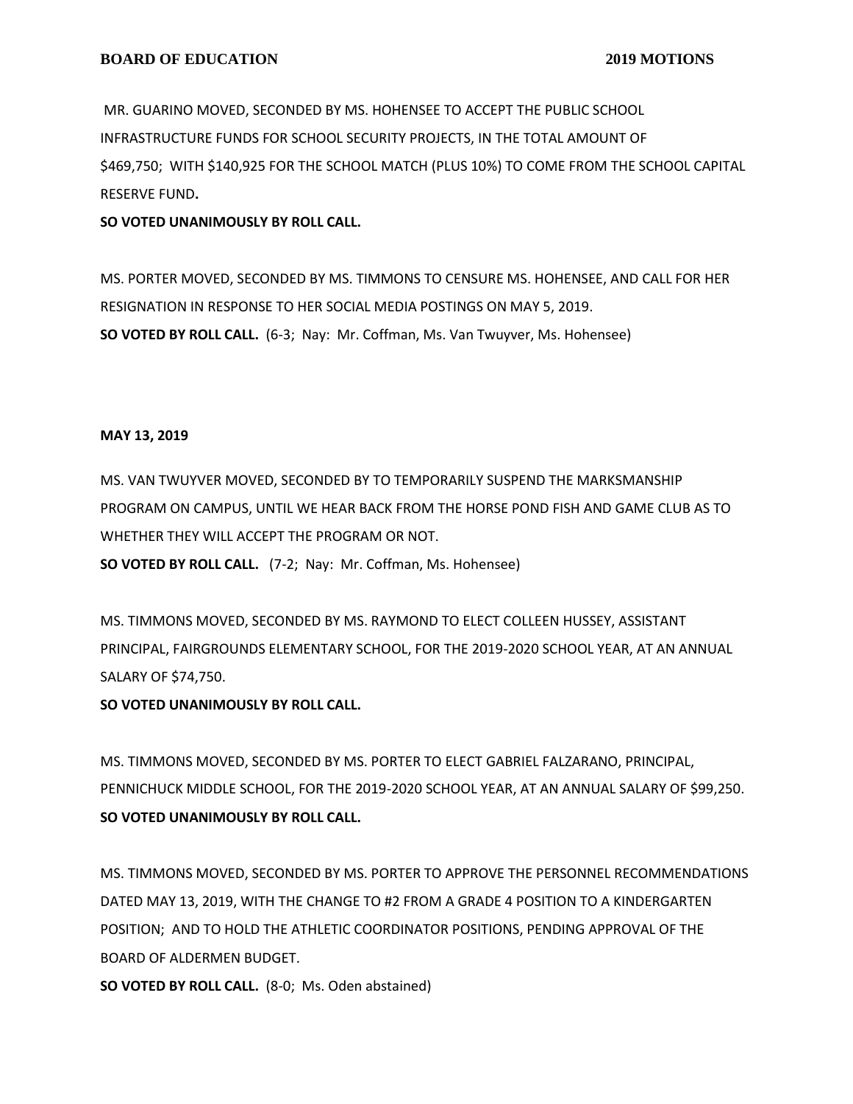MR. GUARINO MOVED, SECONDED BY MS. HOHENSEE TO ACCEPT THE PUBLIC SCHOOL INFRASTRUCTURE FUNDS FOR SCHOOL SECURITY PROJECTS, IN THE TOTAL AMOUNT OF \$469,750; WITH \$140,925 FOR THE SCHOOL MATCH (PLUS 10%) TO COME FROM THE SCHOOL CAPITAL RESERVE FUND**.**

#### **SO VOTED UNANIMOUSLY BY ROLL CALL.**

MS. PORTER MOVED, SECONDED BY MS. TIMMONS TO CENSURE MS. HOHENSEE, AND CALL FOR HER RESIGNATION IN RESPONSE TO HER SOCIAL MEDIA POSTINGS ON MAY 5, 2019. **SO VOTED BY ROLL CALL.** (6-3; Nay: Mr. Coffman, Ms. Van Twuyver, Ms. Hohensee)

#### **MAY 13, 2019**

MS. VAN TWUYVER MOVED, SECONDED BY TO TEMPORARILY SUSPEND THE MARKSMANSHIP PROGRAM ON CAMPUS, UNTIL WE HEAR BACK FROM THE HORSE POND FISH AND GAME CLUB AS TO WHETHER THEY WILL ACCEPT THE PROGRAM OR NOT.

**SO VOTED BY ROLL CALL.** (7-2; Nay: Mr. Coffman, Ms. Hohensee)

MS. TIMMONS MOVED, SECONDED BY MS. RAYMOND TO ELECT COLLEEN HUSSEY, ASSISTANT PRINCIPAL, FAIRGROUNDS ELEMENTARY SCHOOL, FOR THE 2019-2020 SCHOOL YEAR, AT AN ANNUAL SALARY OF \$74,750.

## **SO VOTED UNANIMOUSLY BY ROLL CALL.**

MS. TIMMONS MOVED, SECONDED BY MS. PORTER TO ELECT GABRIEL FALZARANO, PRINCIPAL, PENNICHUCK MIDDLE SCHOOL, FOR THE 2019-2020 SCHOOL YEAR, AT AN ANNUAL SALARY OF \$99,250. **SO VOTED UNANIMOUSLY BY ROLL CALL.**

MS. TIMMONS MOVED, SECONDED BY MS. PORTER TO APPROVE THE PERSONNEL RECOMMENDATIONS DATED MAY 13, 2019, WITH THE CHANGE TO #2 FROM A GRADE 4 POSITION TO A KINDERGARTEN POSITION; AND TO HOLD THE ATHLETIC COORDINATOR POSITIONS, PENDING APPROVAL OF THE BOARD OF ALDERMEN BUDGET.

**SO VOTED BY ROLL CALL.** (8-0; Ms. Oden abstained)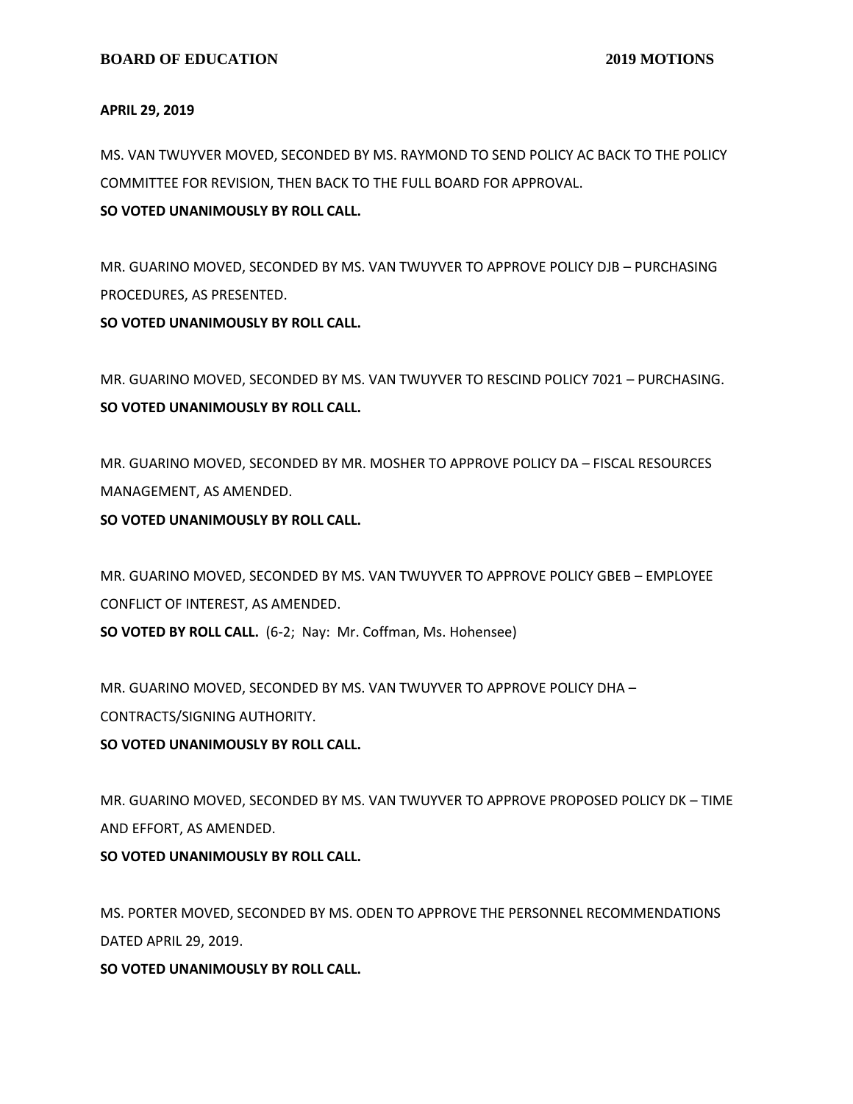#### **APRIL 29, 2019**

MS. VAN TWUYVER MOVED, SECONDED BY MS. RAYMOND TO SEND POLICY AC BACK TO THE POLICY COMMITTEE FOR REVISION, THEN BACK TO THE FULL BOARD FOR APPROVAL.

## **SO VOTED UNANIMOUSLY BY ROLL CALL.**

MR. GUARINO MOVED, SECONDED BY MS. VAN TWUYVER TO APPROVE POLICY DJB – PURCHASING PROCEDURES, AS PRESENTED.

**SO VOTED UNANIMOUSLY BY ROLL CALL.**

MR. GUARINO MOVED, SECONDED BY MS. VAN TWUYVER TO RESCIND POLICY 7021 – PURCHASING. **SO VOTED UNANIMOUSLY BY ROLL CALL.**

MR. GUARINO MOVED, SECONDED BY MR. MOSHER TO APPROVE POLICY DA – FISCAL RESOURCES MANAGEMENT, AS AMENDED.

**SO VOTED UNANIMOUSLY BY ROLL CALL.**

MR. GUARINO MOVED, SECONDED BY MS. VAN TWUYVER TO APPROVE POLICY GBEB – EMPLOYEE CONFLICT OF INTEREST, AS AMENDED.

**SO VOTED BY ROLL CALL.** (6-2; Nay: Mr. Coffman, Ms. Hohensee)

MR. GUARINO MOVED, SECONDED BY MS. VAN TWUYVER TO APPROVE POLICY DHA – CONTRACTS/SIGNING AUTHORITY.

# **SO VOTED UNANIMOUSLY BY ROLL CALL.**

MR. GUARINO MOVED, SECONDED BY MS. VAN TWUYVER TO APPROVE PROPOSED POLICY DK – TIME AND EFFORT, AS AMENDED.

## **SO VOTED UNANIMOUSLY BY ROLL CALL.**

MS. PORTER MOVED, SECONDED BY MS. ODEN TO APPROVE THE PERSONNEL RECOMMENDATIONS DATED APRIL 29, 2019.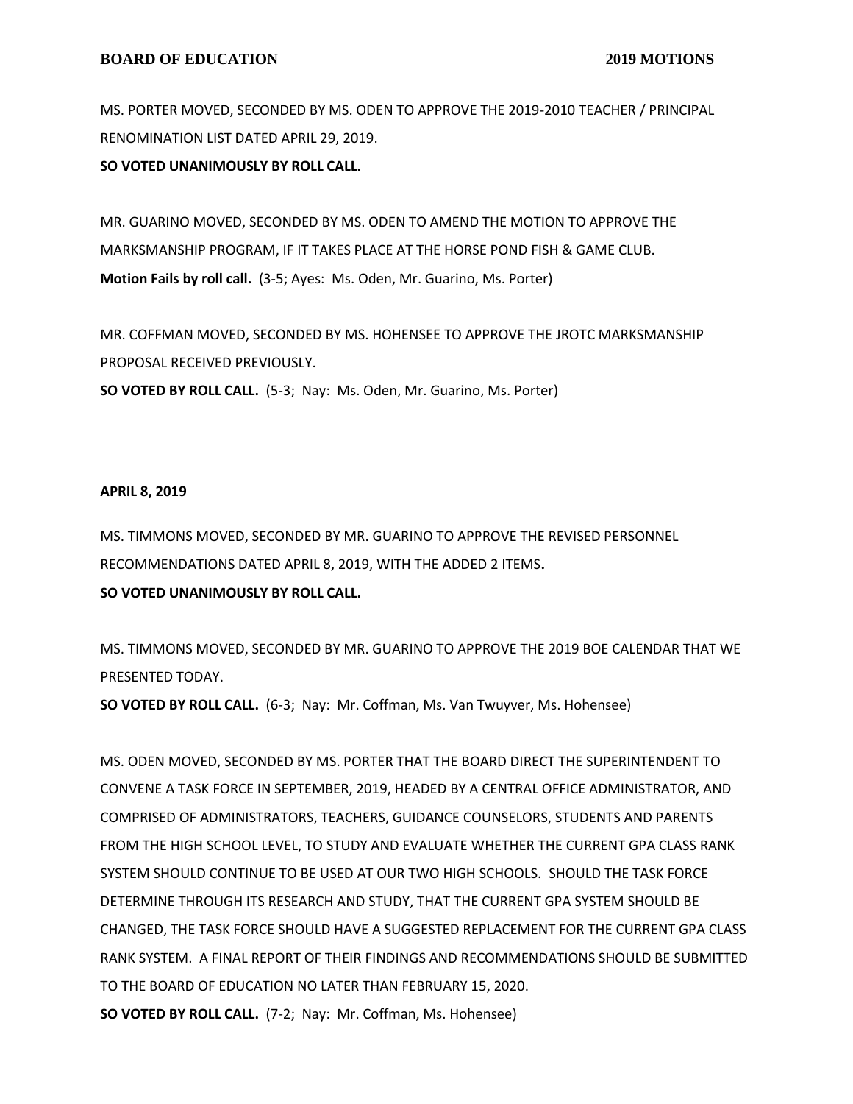MS. PORTER MOVED, SECONDED BY MS. ODEN TO APPROVE THE 2019-2010 TEACHER / PRINCIPAL RENOMINATION LIST DATED APRIL 29, 2019.

**SO VOTED UNANIMOUSLY BY ROLL CALL.**

MR. GUARINO MOVED, SECONDED BY MS. ODEN TO AMEND THE MOTION TO APPROVE THE MARKSMANSHIP PROGRAM, IF IT TAKES PLACE AT THE HORSE POND FISH & GAME CLUB. **Motion Fails by roll call.** (3-5; Ayes: Ms. Oden, Mr. Guarino, Ms. Porter)

MR. COFFMAN MOVED, SECONDED BY MS. HOHENSEE TO APPROVE THE JROTC MARKSMANSHIP PROPOSAL RECEIVED PREVIOUSLY. **SO VOTED BY ROLL CALL.** (5-3; Nay: Ms. Oden, Mr. Guarino, Ms. Porter)

#### **APRIL 8, 2019**

MS. TIMMONS MOVED, SECONDED BY MR. GUARINO TO APPROVE THE REVISED PERSONNEL RECOMMENDATIONS DATED APRIL 8, 2019, WITH THE ADDED 2 ITEMS**.**

## **SO VOTED UNANIMOUSLY BY ROLL CALL.**

MS. TIMMONS MOVED, SECONDED BY MR. GUARINO TO APPROVE THE 2019 BOE CALENDAR THAT WE PRESENTED TODAY.

**SO VOTED BY ROLL CALL.** (6-3; Nay: Mr. Coffman, Ms. Van Twuyver, Ms. Hohensee)

MS. ODEN MOVED, SECONDED BY MS. PORTER THAT THE BOARD DIRECT THE SUPERINTENDENT TO CONVENE A TASK FORCE IN SEPTEMBER, 2019, HEADED BY A CENTRAL OFFICE ADMINISTRATOR, AND COMPRISED OF ADMINISTRATORS, TEACHERS, GUIDANCE COUNSELORS, STUDENTS AND PARENTS FROM THE HIGH SCHOOL LEVEL, TO STUDY AND EVALUATE WHETHER THE CURRENT GPA CLASS RANK SYSTEM SHOULD CONTINUE TO BE USED AT OUR TWO HIGH SCHOOLS. SHOULD THE TASK FORCE DETERMINE THROUGH ITS RESEARCH AND STUDY, THAT THE CURRENT GPA SYSTEM SHOULD BE CHANGED, THE TASK FORCE SHOULD HAVE A SUGGESTED REPLACEMENT FOR THE CURRENT GPA CLASS RANK SYSTEM. A FINAL REPORT OF THEIR FINDINGS AND RECOMMENDATIONS SHOULD BE SUBMITTED TO THE BOARD OF EDUCATION NO LATER THAN FEBRUARY 15, 2020. **SO VOTED BY ROLL CALL.** (7-2; Nay: Mr. Coffman, Ms. Hohensee)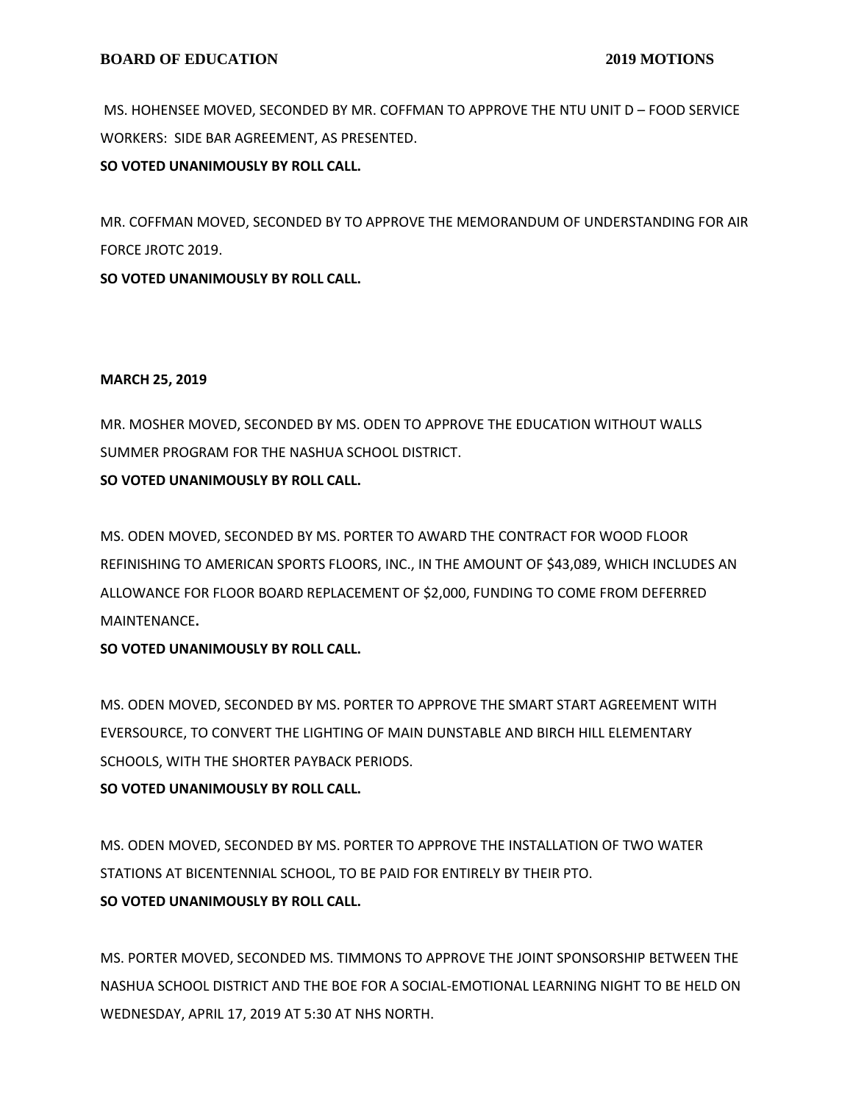MS. HOHENSEE MOVED, SECONDED BY MR. COFFMAN TO APPROVE THE NTU UNIT D – FOOD SERVICE WORKERS: SIDE BAR AGREEMENT, AS PRESENTED.

**SO VOTED UNANIMOUSLY BY ROLL CALL.**

MR. COFFMAN MOVED, SECONDED BY TO APPROVE THE MEMORANDUM OF UNDERSTANDING FOR AIR FORCE JROTC 2019.

**SO VOTED UNANIMOUSLY BY ROLL CALL.**

## **MARCH 25, 2019**

MR. MOSHER MOVED, SECONDED BY MS. ODEN TO APPROVE THE EDUCATION WITHOUT WALLS SUMMER PROGRAM FOR THE NASHUA SCHOOL DISTRICT.

**SO VOTED UNANIMOUSLY BY ROLL CALL.**

MS. ODEN MOVED, SECONDED BY MS. PORTER TO AWARD THE CONTRACT FOR WOOD FLOOR REFINISHING TO AMERICAN SPORTS FLOORS, INC., IN THE AMOUNT OF \$43,089, WHICH INCLUDES AN ALLOWANCE FOR FLOOR BOARD REPLACEMENT OF \$2,000, FUNDING TO COME FROM DEFERRED MAINTENANCE**.**

**SO VOTED UNANIMOUSLY BY ROLL CALL.**

MS. ODEN MOVED, SECONDED BY MS. PORTER TO APPROVE THE SMART START AGREEMENT WITH EVERSOURCE, TO CONVERT THE LIGHTING OF MAIN DUNSTABLE AND BIRCH HILL ELEMENTARY SCHOOLS, WITH THE SHORTER PAYBACK PERIODS.

# **SO VOTED UNANIMOUSLY BY ROLL CALL.**

MS. ODEN MOVED, SECONDED BY MS. PORTER TO APPROVE THE INSTALLATION OF TWO WATER STATIONS AT BICENTENNIAL SCHOOL, TO BE PAID FOR ENTIRELY BY THEIR PTO. **SO VOTED UNANIMOUSLY BY ROLL CALL.**

MS. PORTER MOVED, SECONDED MS. TIMMONS TO APPROVE THE JOINT SPONSORSHIP BETWEEN THE NASHUA SCHOOL DISTRICT AND THE BOE FOR A SOCIAL-EMOTIONAL LEARNING NIGHT TO BE HELD ON WEDNESDAY, APRIL 17, 2019 AT 5:30 AT NHS NORTH.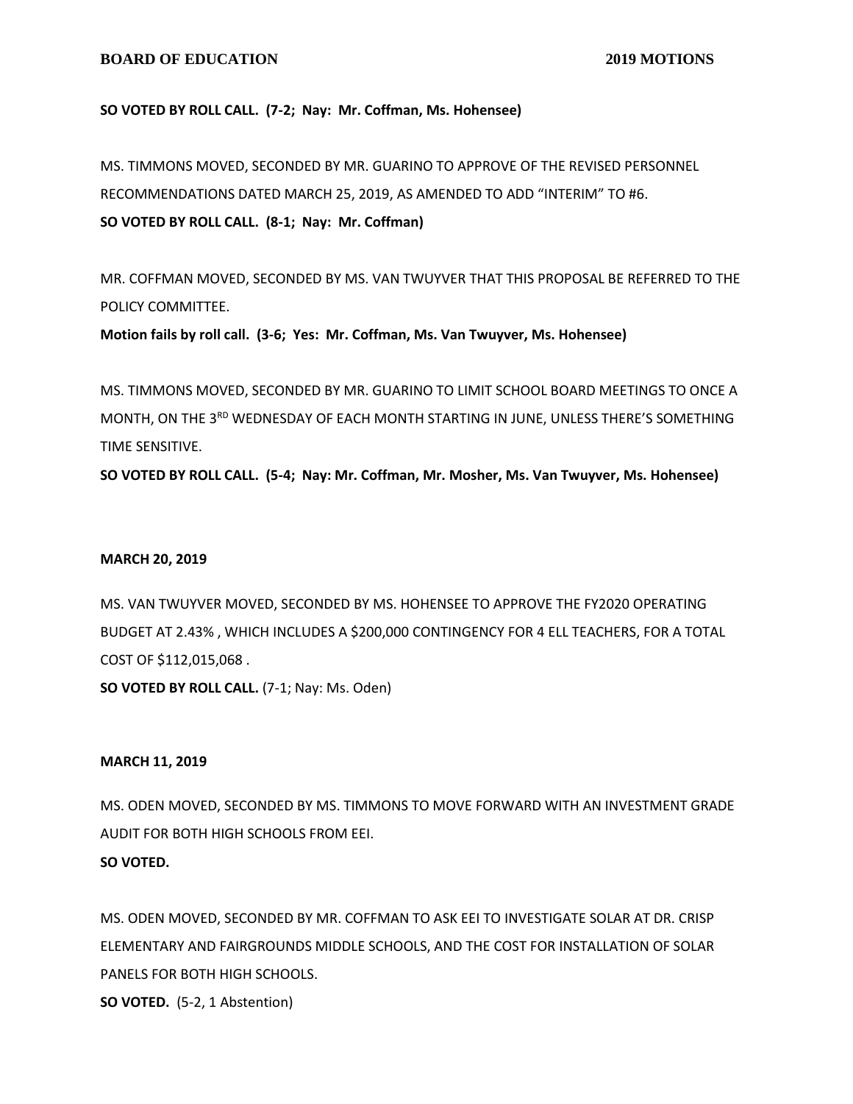#### **BOARD OF EDUCATION** 2019 MOTIONS

#### **SO VOTED BY ROLL CALL. (7-2; Nay: Mr. Coffman, Ms. Hohensee)**

MS. TIMMONS MOVED, SECONDED BY MR. GUARINO TO APPROVE OF THE REVISED PERSONNEL RECOMMENDATIONS DATED MARCH 25, 2019, AS AMENDED TO ADD "INTERIM" TO #6. **SO VOTED BY ROLL CALL. (8-1; Nay: Mr. Coffman)**

MR. COFFMAN MOVED, SECONDED BY MS. VAN TWUYVER THAT THIS PROPOSAL BE REFERRED TO THE POLICY COMMITTEE.

**Motion fails by roll call. (3-6; Yes: Mr. Coffman, Ms. Van Twuyver, Ms. Hohensee)**

MS. TIMMONS MOVED, SECONDED BY MR. GUARINO TO LIMIT SCHOOL BOARD MEETINGS TO ONCE A MONTH, ON THE 3<sup>RD</sup> WEDNESDAY OF EACH MONTH STARTING IN JUNE, UNLESS THERE'S SOMETHING TIME SENSITIVE.

**SO VOTED BY ROLL CALL. (5-4; Nay: Mr. Coffman, Mr. Mosher, Ms. Van Twuyver, Ms. Hohensee)**

#### **MARCH 20, 2019**

MS. VAN TWUYVER MOVED, SECONDED BY MS. HOHENSEE TO APPROVE THE FY2020 OPERATING BUDGET AT 2.43% , WHICH INCLUDES A \$200,000 CONTINGENCY FOR 4 ELL TEACHERS, FOR A TOTAL COST OF \$112,015,068 .

**SO VOTED BY ROLL CALL.** (7-1; Nay: Ms. Oden)

#### **MARCH 11, 2019**

MS. ODEN MOVED, SECONDED BY MS. TIMMONS TO MOVE FORWARD WITH AN INVESTMENT GRADE AUDIT FOR BOTH HIGH SCHOOLS FROM EEI. **SO VOTED.**

MS. ODEN MOVED, SECONDED BY MR. COFFMAN TO ASK EEI TO INVESTIGATE SOLAR AT DR. CRISP ELEMENTARY AND FAIRGROUNDS MIDDLE SCHOOLS, AND THE COST FOR INSTALLATION OF SOLAR PANELS FOR BOTH HIGH SCHOOLS.

**SO VOTED.** (5-2, 1 Abstention)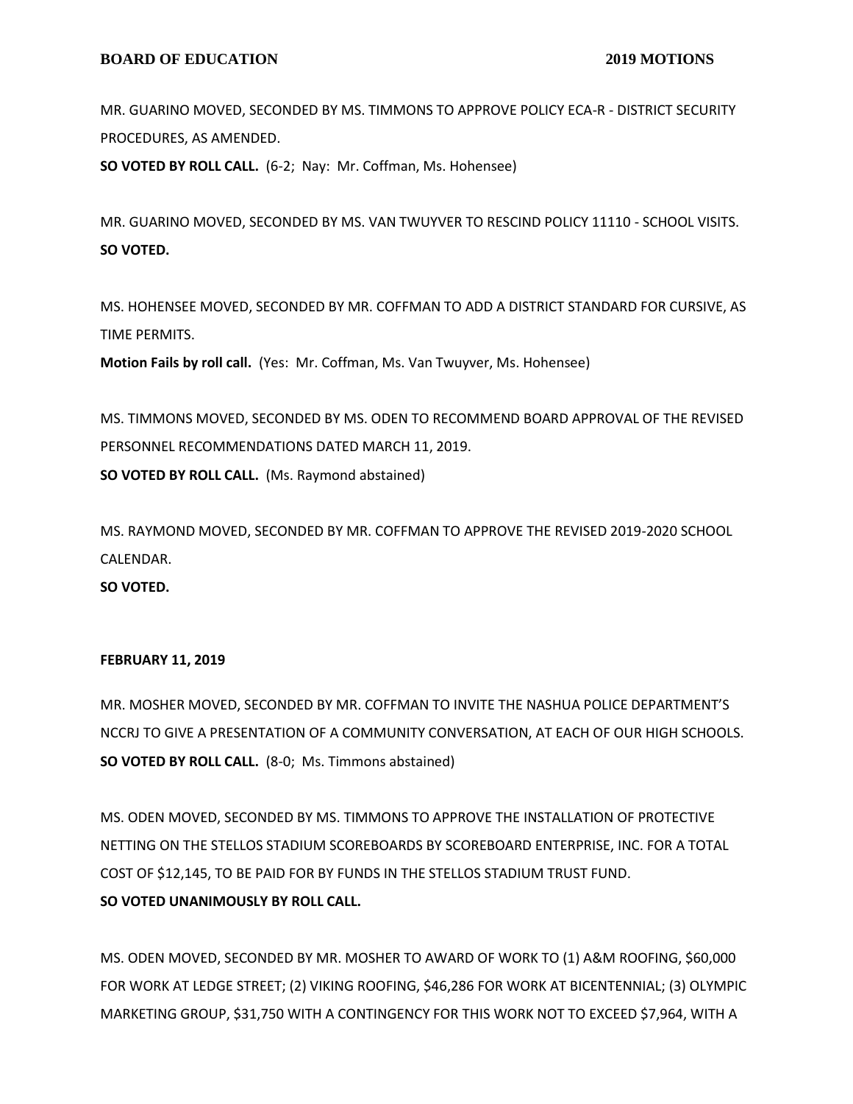MR. GUARINO MOVED, SECONDED BY MS. TIMMONS TO APPROVE POLICY ECA-R - DISTRICT SECURITY PROCEDURES, AS AMENDED.

**SO VOTED BY ROLL CALL.** (6-2; Nay: Mr. Coffman, Ms. Hohensee)

MR. GUARINO MOVED, SECONDED BY MS. VAN TWUYVER TO RESCIND POLICY 11110 - SCHOOL VISITS. **SO VOTED.**

MS. HOHENSEE MOVED, SECONDED BY MR. COFFMAN TO ADD A DISTRICT STANDARD FOR CURSIVE, AS TIME PERMITS.

**Motion Fails by roll call.** (Yes: Mr. Coffman, Ms. Van Twuyver, Ms. Hohensee)

MS. TIMMONS MOVED, SECONDED BY MS. ODEN TO RECOMMEND BOARD APPROVAL OF THE REVISED PERSONNEL RECOMMENDATIONS DATED MARCH 11, 2019. **SO VOTED BY ROLL CALL.** (Ms. Raymond abstained)

MS. RAYMOND MOVED, SECONDED BY MR. COFFMAN TO APPROVE THE REVISED 2019-2020 SCHOOL CALENDAR.

**SO VOTED.**

#### **FEBRUARY 11, 2019**

MR. MOSHER MOVED, SECONDED BY MR. COFFMAN TO INVITE THE NASHUA POLICE DEPARTMENT'S NCCRJ TO GIVE A PRESENTATION OF A COMMUNITY CONVERSATION, AT EACH OF OUR HIGH SCHOOLS. **SO VOTED BY ROLL CALL.** (8-0; Ms. Timmons abstained)

MS. ODEN MOVED, SECONDED BY MS. TIMMONS TO APPROVE THE INSTALLATION OF PROTECTIVE NETTING ON THE STELLOS STADIUM SCOREBOARDS BY SCOREBOARD ENTERPRISE, INC. FOR A TOTAL COST OF \$12,145, TO BE PAID FOR BY FUNDS IN THE STELLOS STADIUM TRUST FUND. **SO VOTED UNANIMOUSLY BY ROLL CALL.**

MS. ODEN MOVED, SECONDED BY MR. MOSHER TO AWARD OF WORK TO (1) A&M ROOFING, \$60,000 FOR WORK AT LEDGE STREET; (2) VIKING ROOFING, \$46,286 FOR WORK AT BICENTENNIAL; (3) OLYMPIC MARKETING GROUP, \$31,750 WITH A CONTINGENCY FOR THIS WORK NOT TO EXCEED \$7,964, WITH A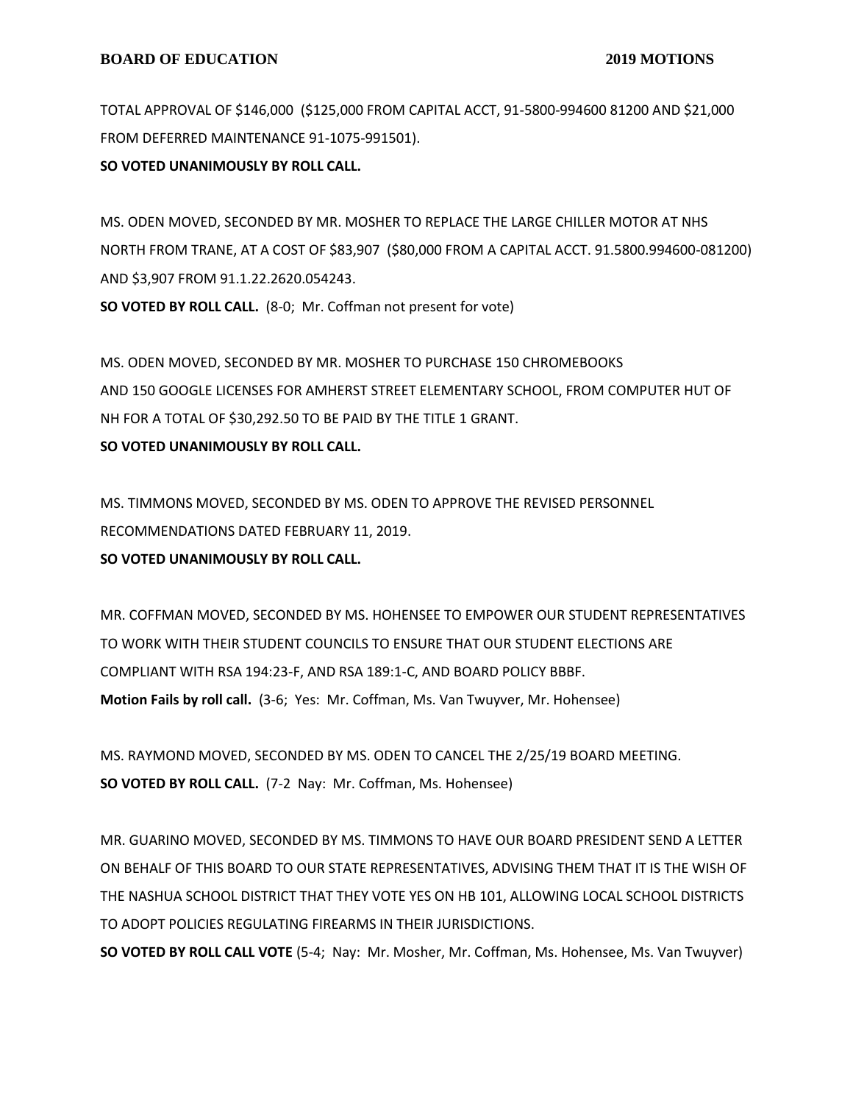TOTAL APPROVAL OF \$146,000 (\$125,000 FROM CAPITAL ACCT, 91-5800-994600 81200 AND \$21,000 FROM DEFERRED MAINTENANCE 91-1075-991501).

**SO VOTED UNANIMOUSLY BY ROLL CALL.**

MS. ODEN MOVED, SECONDED BY MR. MOSHER TO REPLACE THE LARGE CHILLER MOTOR AT NHS NORTH FROM TRANE, AT A COST OF \$83,907 (\$80,000 FROM A CAPITAL ACCT. 91.5800.994600-081200) AND \$3,907 FROM 91.1.22.2620.054243. **SO VOTED BY ROLL CALL.** (8-0; Mr. Coffman not present for vote)

MS. ODEN MOVED, SECONDED BY MR. MOSHER TO PURCHASE 150 CHROMEBOOKS AND 150 GOOGLE LICENSES FOR AMHERST STREET ELEMENTARY SCHOOL, FROM COMPUTER HUT OF NH FOR A TOTAL OF \$30,292.50 TO BE PAID BY THE TITLE 1 GRANT. **SO VOTED UNANIMOUSLY BY ROLL CALL.**

MS. TIMMONS MOVED, SECONDED BY MS. ODEN TO APPROVE THE REVISED PERSONNEL RECOMMENDATIONS DATED FEBRUARY 11, 2019. **SO VOTED UNANIMOUSLY BY ROLL CALL.**

MR. COFFMAN MOVED, SECONDED BY MS. HOHENSEE TO EMPOWER OUR STUDENT REPRESENTATIVES TO WORK WITH THEIR STUDENT COUNCILS TO ENSURE THAT OUR STUDENT ELECTIONS ARE COMPLIANT WITH RSA 194:23-F, AND RSA 189:1-C, AND BOARD POLICY BBBF. **Motion Fails by roll call.** (3-6; Yes: Mr. Coffman, Ms. Van Twuyver, Mr. Hohensee)

MS. RAYMOND MOVED, SECONDED BY MS. ODEN TO CANCEL THE 2/25/19 BOARD MEETING. **SO VOTED BY ROLL CALL.** (7-2 Nay: Mr. Coffman, Ms. Hohensee)

MR. GUARINO MOVED, SECONDED BY MS. TIMMONS TO HAVE OUR BOARD PRESIDENT SEND A LETTER ON BEHALF OF THIS BOARD TO OUR STATE REPRESENTATIVES, ADVISING THEM THAT IT IS THE WISH OF THE NASHUA SCHOOL DISTRICT THAT THEY VOTE YES ON HB 101, ALLOWING LOCAL SCHOOL DISTRICTS TO ADOPT POLICIES REGULATING FIREARMS IN THEIR JURISDICTIONS.

**SO VOTED BY ROLL CALL VOTE** (5-4; Nay: Mr. Mosher, Mr. Coffman, Ms. Hohensee, Ms. Van Twuyver)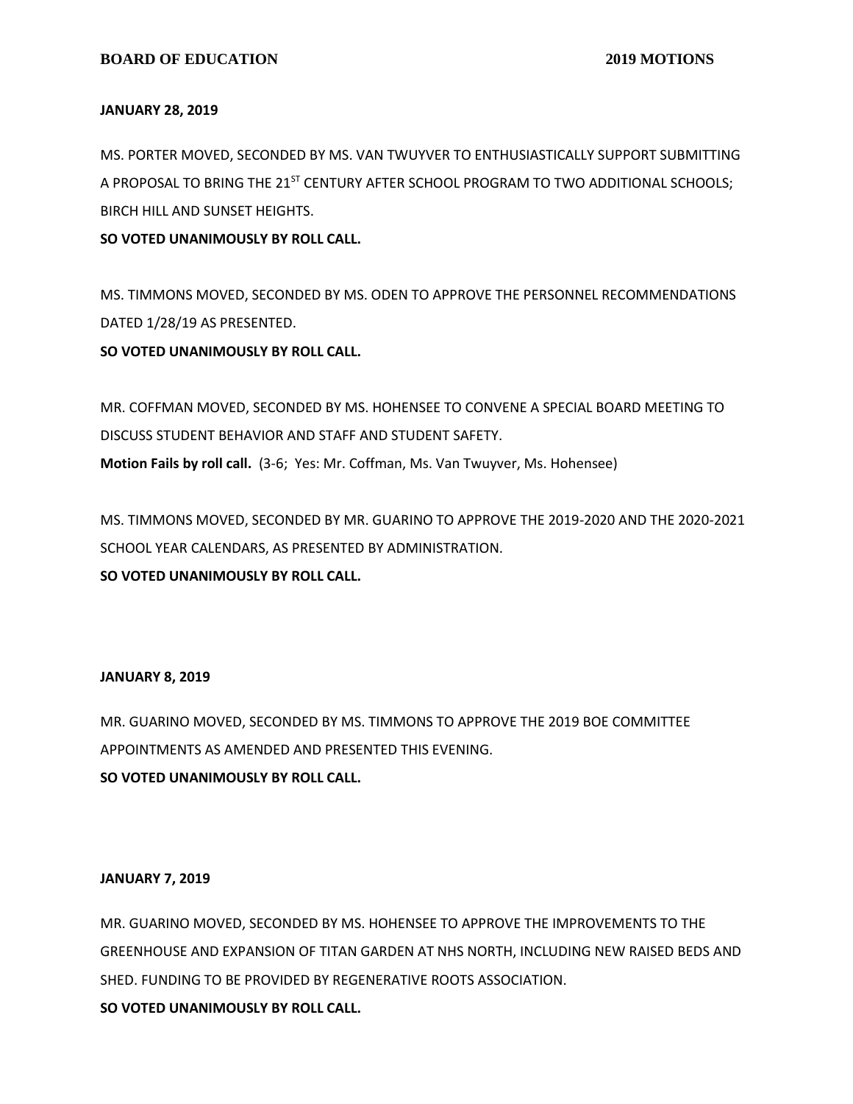#### **JANUARY 28, 2019**

MS. PORTER MOVED, SECONDED BY MS. VAN TWUYVER TO ENTHUSIASTICALLY SUPPORT SUBMITTING A PROPOSAL TO BRING THE 21<sup>ST</sup> CENTURY AFTER SCHOOL PROGRAM TO TWO ADDITIONAL SCHOOLS; BIRCH HILL AND SUNSET HEIGHTS.

**SO VOTED UNANIMOUSLY BY ROLL CALL.**

MS. TIMMONS MOVED, SECONDED BY MS. ODEN TO APPROVE THE PERSONNEL RECOMMENDATIONS DATED 1/28/19 AS PRESENTED.

**SO VOTED UNANIMOUSLY BY ROLL CALL.**

MR. COFFMAN MOVED, SECONDED BY MS. HOHENSEE TO CONVENE A SPECIAL BOARD MEETING TO DISCUSS STUDENT BEHAVIOR AND STAFF AND STUDENT SAFETY. **Motion Fails by roll call.** (3-6; Yes: Mr. Coffman, Ms. Van Twuyver, Ms. Hohensee)

MS. TIMMONS MOVED, SECONDED BY MR. GUARINO TO APPROVE THE 2019-2020 AND THE 2020-2021 SCHOOL YEAR CALENDARS, AS PRESENTED BY ADMINISTRATION. **SO VOTED UNANIMOUSLY BY ROLL CALL.**

#### **JANUARY 8, 2019**

MR. GUARINO MOVED, SECONDED BY MS. TIMMONS TO APPROVE THE 2019 BOE COMMITTEE APPOINTMENTS AS AMENDED AND PRESENTED THIS EVENING.

**SO VOTED UNANIMOUSLY BY ROLL CALL.**

## **JANUARY 7, 2019**

MR. GUARINO MOVED, SECONDED BY MS. HOHENSEE TO APPROVE THE IMPROVEMENTS TO THE GREENHOUSE AND EXPANSION OF TITAN GARDEN AT NHS NORTH, INCLUDING NEW RAISED BEDS AND SHED. FUNDING TO BE PROVIDED BY REGENERATIVE ROOTS ASSOCIATION.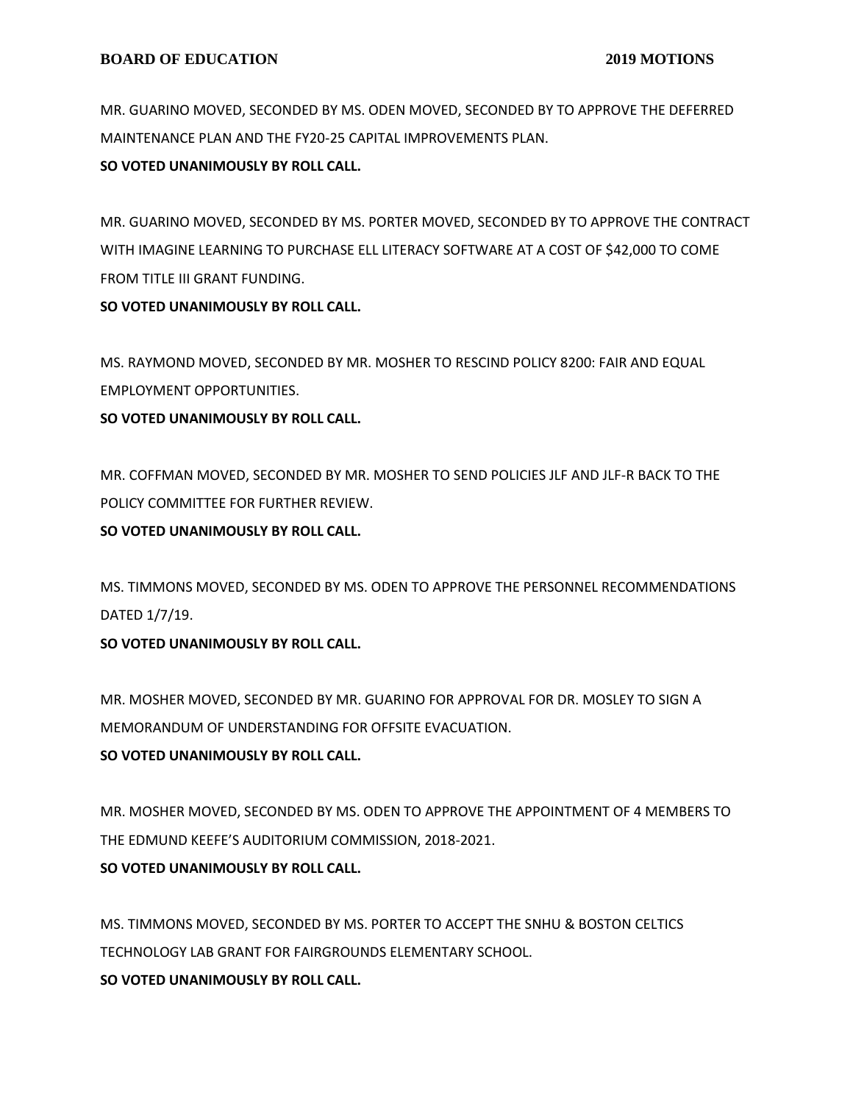MR. GUARINO MOVED, SECONDED BY MS. ODEN MOVED, SECONDED BY TO APPROVE THE DEFERRED MAINTENANCE PLAN AND THE FY20-25 CAPITAL IMPROVEMENTS PLAN.

**SO VOTED UNANIMOUSLY BY ROLL CALL.**

MR. GUARINO MOVED, SECONDED BY MS. PORTER MOVED, SECONDED BY TO APPROVE THE CONTRACT WITH IMAGINE LEARNING TO PURCHASE ELL LITERACY SOFTWARE AT A COST OF \$42,000 TO COME FROM TITLE III GRANT FUNDING.

**SO VOTED UNANIMOUSLY BY ROLL CALL.**

MS. RAYMOND MOVED, SECONDED BY MR. MOSHER TO RESCIND POLICY 8200: FAIR AND EQUAL EMPLOYMENT OPPORTUNITIES.

**SO VOTED UNANIMOUSLY BY ROLL CALL.**

MR. COFFMAN MOVED, SECONDED BY MR. MOSHER TO SEND POLICIES JLF AND JLF-R BACK TO THE POLICY COMMITTEE FOR FURTHER REVIEW.

**SO VOTED UNANIMOUSLY BY ROLL CALL.**

MS. TIMMONS MOVED, SECONDED BY MS. ODEN TO APPROVE THE PERSONNEL RECOMMENDATIONS DATED 1/7/19.

**SO VOTED UNANIMOUSLY BY ROLL CALL.**

MR. MOSHER MOVED, SECONDED BY MR. GUARINO FOR APPROVAL FOR DR. MOSLEY TO SIGN A MEMORANDUM OF UNDERSTANDING FOR OFFSITE EVACUATION. **SO VOTED UNANIMOUSLY BY ROLL CALL.**

MR. MOSHER MOVED, SECONDED BY MS. ODEN TO APPROVE THE APPOINTMENT OF 4 MEMBERS TO THE EDMUND KEEFE'S AUDITORIUM COMMISSION, 2018-2021.

**SO VOTED UNANIMOUSLY BY ROLL CALL.**

MS. TIMMONS MOVED, SECONDED BY MS. PORTER TO ACCEPT THE SNHU & BOSTON CELTICS TECHNOLOGY LAB GRANT FOR FAIRGROUNDS ELEMENTARY SCHOOL. **SO VOTED UNANIMOUSLY BY ROLL CALL.**